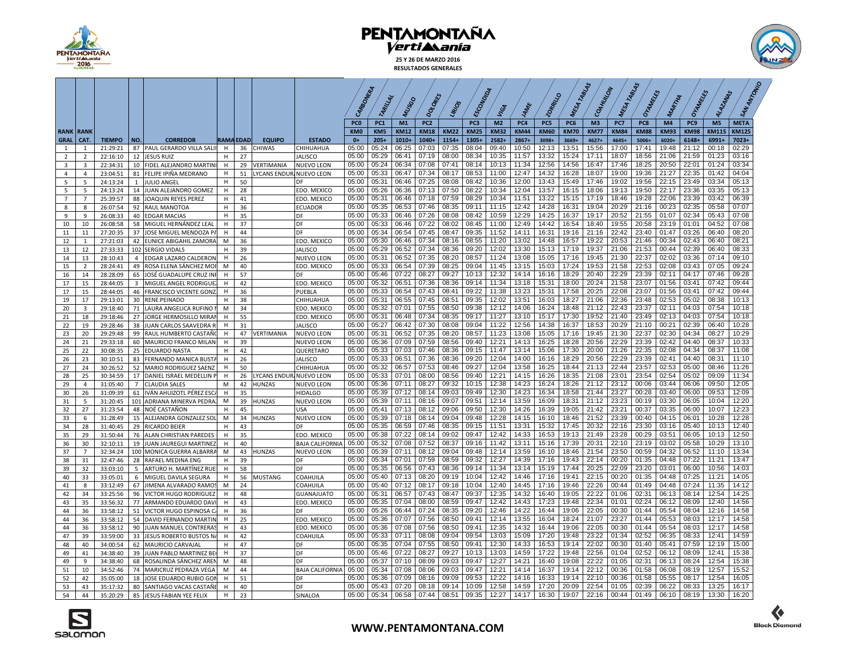

**25 Y 26 DE MARZO 2016 RESULTADOS GENERALES**



|                     |                     |                      |                |                                                      |                  |          |                          |                              | CARBONERA                          |                        |                   |                                |                |                    |                               |                    | 120 <sub>RRK10</sub> |                    | TABLAS<br>COAHUNON            |                    | TABLAS<br>Orangels |                   | Orangers           | <b>ALAZANSS</b>                | SAN ANTONIC          |
|---------------------|---------------------|----------------------|----------------|------------------------------------------------------|------------------|----------|--------------------------|------------------------------|------------------------------------|------------------------|-------------------|--------------------------------|----------------|--------------------|-------------------------------|--------------------|----------------------|--------------------|-------------------------------|--------------------|--------------------|-------------------|--------------------|--------------------------------|----------------------|
|                     |                     |                      |                |                                                      |                  |          |                          |                              |                                    | TARILLAL               | MUSSO             | oo                             | LIRIOS         | ECON               | VIGA                          |                    |                      | MESA               |                               | MESA               |                    | MARTIN            |                    |                                |                      |
|                     |                     |                      |                |                                                      |                  |          |                          |                              |                                    |                        |                   |                                |                |                    |                               |                    |                      |                    |                               |                    |                    |                   |                    |                                |                      |
| <b>RANK</b>         | <b>RANK</b>         |                      |                |                                                      |                  |          |                          |                              | PC <sub>0</sub><br>KM <sub>0</sub> | PC <sub>1</sub><br>KM5 | M1<br><b>KM12</b> | PC <sub>2</sub><br><b>KM18</b> | <b>KM22</b>    | PC3<br><b>KM25</b> | M <sub>2</sub><br><b>KM32</b> | PC4<br><b>KM44</b> | PC5<br><b>KM60</b>   | PC6<br><b>KM70</b> | M <sub>3</sub><br><b>KM77</b> | PC7<br><b>KM84</b> | PC8<br><b>KM88</b> | M4<br><b>KM93</b> | PC9<br><b>KM98</b> | M <sub>5</sub><br><b>KM115</b> | <b>META</b><br>KM125 |
| <b>GRAL</b>         | CAT.                | <b>TIEMPO</b>        | NO.            | <b>CORREDOR</b>                                      | <b>RAMA EDAD</b> |          | <b>EQUIPO</b>            | <b>ESTADO</b>                | $0+$                               | $205+$                 | $1010+$           | 1040+                          | 1154+          | 1305+              | 2582+                         | 2867+              | 3098+                | 3669+              | 4627+                         | 4645+              | 5006+              | 6020+             | 6148+              | 6991+                          | 7023+                |
|                     | $\mathbf{1}$        | 21:29:21             | 87             | PAUL GERARDO VILLA SALII                             | H                | 36       | <b>CHIWAS</b>            | CHIHUAHUA                    | 05:00                              | 05:24                  | 06:25             | 07:03                          | 07:35          | 08:04              | 09:40                         | 10:50              | 12:13                | 13:51              | 15:56                         | 17:00              | 17:41              | 19:48             | 21:12              | 00:18                          | 02:29                |
| $\overline{2}$      | $\overline{2}$      | 22:16:10             |                | 12 JESUS RUIZ                                        | H                | 27       |                          | <b>JALISCO</b>               | 05:00                              | 05:29                  | 06:41             | 07:19                          | 08:00          | 08:34              | 10:35                         | 11:57              | 13:32                | 15:24              | 17:11                         | 18:07              | 18:56              | 21:06             | 21:59              | 01:23                          | 03:16                |
| 3                   | $\overline{3}$      | 22:34:31             | 10             | FIDEL ALEJANDRO MARTIN                               | H                | 29       | VERTIMANIA               | NUEVO LEON                   | 05:00                              | 05:24                  | 06:34             | 07:08                          | 07:41          | 08:14              | 10:13                         | 11:34              | 12:56                | 14:56              | 16:47                         | 17:46              | 18:25              | 20:50             | 22:01              | 01:24                          | 03:34                |
| 4                   | $\mathbf{A}$        | 23:04:51             | 81             | FELIPE IPIÑA MEDRANO                                 | н                | 51       | LYCANS ENDUR, NUEVO LEON |                              | 05:00                              | 05:33                  | 06:47             | 07:34                          | 08:17          | 08:53              | 11:00                         | 12:47              | 14:32                | 16:28              | 18:07                         | 19:00              | 19:36              | 21:27             | 22:35              | 01:42                          | 04:04                |
| 5                   | 5                   | 24:13:24             | 1              | <b>JULIO ANGEL</b>                                   | H                | 50       |                          |                              | 05:00                              | 05:31                  | 06:46             | 07:25                          | 08:08          | 08:42              | 10:36                         | 12:00              | 13:43                | 15:49              | 17:46                         | 19:02              | 19:56              | 22:15             | 23:49              | 03:34                          | 05:13                |
| 5<br>$\overline{7}$ | 5<br>$\overline{7}$ | 24:13:24<br>25:39:57 | 14<br>88       | JUAN ALEJANDRO GOMEZ<br>JOAQUIN REYES PEREZ          | н<br>H           | 28<br>41 |                          | EDO. MEXICO<br>EDO. MEXICC   | 05:00<br>05:00                     | 05:26<br>05:31         | 06:36<br>06:46    | 07:13<br>07:18                 | 07:50<br>07:59 | 08:22<br>08:29     | 10:34<br>10:34                | 12:04<br>11:51     | 13:57<br>13:22       | 16:15<br>15:15     | 18:06<br>17:19                | 19:13<br>18:46     | 19:50<br>19:28     | 22:17<br>22:06    | 23:36<br>23:39     | 03:35<br>03:42                 | 05:13<br>06:39       |
| 8                   | 8                   | 26:07:54             | 92             | RAUL MANOTOA                                         | H                | 36       |                          | ECUADOR                      | 05:00                              | 05:35                  | 06:53             | 07:46                          | 08:35          | 09:11              | 11:15                         | 12:42              | 14:28                | 16:31              | 19:04                         | 20:29              | 21:16              | 00:23             | 02:35              | 05:58                          | 07:07                |
| 9                   | $\mathbf{q}$        | 26:08:33             | 40             | <b>EDGAR MACIAS</b>                                  | H                | 35       |                          | DF                           | 05:00                              | 05:33                  | 06:46             | 07:26                          | 08:08          | 08:42              | 10:59                         | 12:29              | 14:25                | 16:37              | 19:17                         | 20:52              | 21:55              | 01:07             | 02:34              | 05:43                          | 07:08                |
| 10                  | 10                  | 26:08:58             | 58             | MIGUEL HERNÁNDEZ LEAL                                | H                | 37       |                          | DF                           | 05:00                              | 05:33                  | 06:46             | 07:22                          | 08:02          | 08:45              | 11:00                         | 12:49              | 14:42                | 16:54              | 18:40                         | 19:55              | 20:58              | 23:19             | 01:01              | 04:52                          | 07:08                |
| 11                  | 11                  | 27:20:35             | 37             | JOSE MIGUEL MENDOZA P/                               | н                | 44       |                          | DE                           | 05:00                              | 05:34                  | 06:54             | 07:45                          | 08:47          | 09:35              | 11:52                         | 14:11              | 16:31                | 19:16              | 21:16                         | 22:42              | 23:40              | 01:47             | 03:26              | 06:40                          | 08:20                |
| 12                  | 1                   | 27:21:03             | 42             | <b>EUNICE ABIGAHIL ZAMORA</b>                        | M                | 36       |                          | EDO. MEXICO                  | 05:00                              | 05:30                  | 06:46             | 07:34                          | 08:16          | 08:55              | 11:20                         | 13:02              | 14:48                | 16:57              | 19:22                         | 20:53              | 21:46              | 00:34             | 02:43              | 06:40                          | 08:21                |
| 13                  | 12                  | 27:33:33             | 102            | <b>SERGIO VIDALS</b>                                 | H                | 39       |                          | <b>JALISCO</b>               | 05:00                              | 05:29                  | 06:52             | 07:34                          | 08:36          | 09:20              | 12:02                         | 13:30              | 15:13                | 17:19              | 19:37                         | 21:06              | 21:53              | 00:44             | 02:39              | 06:40                          | 08:33                |
| 14                  | 13                  | 28:10:43             | 4              | EDGAR LAZARO CALDERON                                | н                | 26       |                          | NUEVO LEON                   | 05:00                              | 05:31                  | 06:52             | 07:35                          | 08:20          | 08:57              | 11:24                         | 13:08              | 15:05                | 17:16              | 19:45                         | 21:30              | 22:37              | 02:02             | 03:36              | 07:14                          | 09:10                |
| 15                  | $\overline{2}$      | 28:24:41             | 49             | ROSA ELENA SÁNCHEZ MOI                               | M                | 40       |                          | EDO. MEXICO                  | 05:00                              | 05:33                  | 06:54             | 07:39                          | 08:25          | 09:04              | 11:45                         | 13:15              | 15:03                | 17:24              | 19:53                         | 21:58              | 22:53              | 02:08             | 03:43              | 07:05                          | 09:24                |
| 16                  | 14                  | 28:28:09             | 65             | JOSÉ GUADALUPE CRUZ INF                              | н                | 57       |                          |                              | 05:00                              | 05:46                  | 07:22             | 08:27                          | 09:27          | 10:13              | 12:32                         | 14:14              | 16:16                | 18:29              | 20:40                         | 22:29              | 23:39              | 02:11             | 04:17              | 07:46                          | 09:28                |
| 17                  | 15                  | 28:44:05             | 3              | MIGUEL ANGEL RODRIGUE                                | H<br>н           | 42       |                          | EDO. MEXICO                  | 05:00<br>05:00                     | 05:32<br>05:33         | 06:51<br>06:54    | 07:36<br>07:43                 | 08:36<br>08:41 | 09:14<br>09:22     | 11:34<br>11:38                | 13:18<br>13:23     | 15:31<br>15:31       | 18:00<br>17:58     | 20:24<br>20:25                | 21:58<br>22:08     | 23:07<br>23:07     | 01:56<br>01:56    | 03:41<br>03:41     | 07:42<br>07:42                 | 09:44<br>09:44       |
| 17<br>19            | 15<br>17            | 28:44:05<br>29:13:01 | 46<br>30       | <b>FRANCISCO VICENTE GONZ</b><br><b>RENE PEINADO</b> | H                | 36<br>38 |                          | PUEBLA                       | 05:00                              | 05:31                  | 06:55             | 07:45                          | 08:51          | 09:35              | 12:02                         | 13:51              | 16:03                | 18:27              | 21:06                         | 22:36              | 23:48              | 02:53             | 05:02              | 08:38                          | 10:13                |
| 20                  | $\overline{3}$      | 29:18:40             | 71             | LAURA ANGELICA RUFINO                                | M                | 34       |                          | CHIHUAHUA<br>EDO. MEXICO     | 05:00                              | 05:32                  | 07:01             | 07:55                          | 08:50          | 09:38              | 12:12                         | 14:06              | 16:24                | 18:48              | 21:12                         | 22:43              | 23:37              | 02:11             | 04:03              | 07:54                          | 10:18                |
| 21                  | 18                  | 29:18:46             | 27             | JORGE HERMOSILLO MIRAI                               | н                | 55       |                          | EDO. MEXICC                  | 05:00                              | 05:31                  | 06:48             | 07:34                          | 08:35          | 09:17              | 11:27                         | 13:10              | 15:17                | 17:30              | 19:52                         | 21:40              | 23:49              | 02:13             | 04:03              | 07:54                          | 10:18                |
| 22                  | 19                  | 29:28:46             | 38             | JUAN CARLOS SAAVEDRA R                               | H                | 31       |                          | <b>JALISCO</b>               | 05:00                              | 05:27                  | 06:42             | 07:30                          | 08:08          | 09:04              | 11:22                         | 12:56              | 14:38                | 16:37              | 18:53                         | 20:29              | 21:10              | 00:21             | 02:39              | 06:40                          | 10:28                |
| 23                  | 20                  | 29:29:48             | 99             | RAUL HUMBERTO CASTAÑO                                | H                | 47       | VERTIMANIA               | NUEVO LEON                   | 05:00                              | 05:31                  | 06:52             | 07:35                          | 08:20          | 08:57              | 11:23                         | 13:08              | 15:05                | 17:16              | 19:45                         | 21:30              | 22:37              | 02:30             | 04:34              | 08:27                          | 10:29                |
| 24                  | 21                  | 29:33:18             | 60             | MAURICIO FRANCO MILAN                                | H                | 39       |                          | NUEVO LEON                   | 05:00                              | 05:36                  | 07:09             | 07:59                          | 08:56          | 09:40              | 12:21                         | 14:13              | 16:25                | 18:28              | 20:56                         | 22:29              | 23:39              | 02:42             | 04:40              | 08:37                          | 10:33                |
| 25                  | 22                  | 30:08:35             | 25             | <b>EDUARDO NASTA</b>                                 | Н                | 42       |                          | QUERETARO                    | 05:00                              | 05:33                  | 07:03             | 07:46                          | 08:36          | 09:15              | 11:47                         | 13:14              | 15:06                | 17:30              | 20:00                         | 21:26              | 22:35              | 02:08             | 04:34              | 08:37                          | 11:08                |
| 26                  | 23                  | 30:10:51             | 83             | FERNANDO MANICA BUST/                                | H                | 26       |                          | <b>JALISCO</b>               | 05:00                              | 05:33                  | 06:51             | 07:36                          | 08:36          | 09:20              | 12:04                         | 14:00              | 16:16                | 18:29              | 20:56                         | 22:29              | 23:39              | 02:41             | 04:40              | 08:31                          | 11:10                |
| 27                  | 24                  | 30:26:52             | 52             | MARIO RODRIGUEZ SAENZ                                | H                | 50       |                          | CHIHUAHUA                    | 05:00                              | 05:32                  | 06:57             | 07:53                          | 08:46          | 09:27              | 12:04                         | 13:58              | 16:25                | 18:44              | 21:13                         | 22:44              | 23:57              | 02:53             | 05:00              | 08:46                          | 11:26                |
| 28                  | 25                  | 30:34:59             | 17             | DANIEL ISRAEL MEDELLIN F                             | н                | 26       | <b>LYCANS ENDUR</b>      | <b>NUEVO LEON</b>            | 05:00                              | 05:33                  | 07:01             | 08:00                          | 08:56          | 09:40              | 12:21                         | 14:15              | 16:26                | 18:35              | 21:08                         | 23:01              | 23:54              | 02:54             | 05:02              | 09:09                          | 11:34                |
| 29                  | $\overline{4}$      | 31:05:40             | $\overline{7}$ | <b>CLAUDIA SALES</b>                                 | M<br>H           | 42       | <b>HUNZAS</b>            | <b>NUEVO LEON</b>            | 05:00<br>05:00                     | 05:36<br>05:39         | 07:11<br>07:12    | 08:27<br>08:14                 | 09:32<br>09:03 | 10:15<br>09:49     | 12:38<br>12:30                | 14:23<br>14:23     | 16:24<br>16:34       | 18:26<br>18:58     | 21:12<br>21:44                | 23:12<br>23:27     | 00:06<br>00:28     | 03:44<br>03:40    | 06:06<br>06:00     | 09:50<br>09:53                 | 12:05<br>12:09       |
| 30<br>31            | 26<br>-5            | 31:09:39<br>31:20:45 | 61<br>101      | IVÁN AHUIZOTL PÉREZ ESC<br>ADRIANA MINERVA PEDRA:    | M                | 35<br>39 | <b>HUNZAS</b>            | <b>HIDALGO</b><br>NUEVO LEON | 05:00                              | 05:39                  | 07:11             | 08:16                          | 09:07          | 09:51              | 12:14                         | 13:59              | 16:09                | 18:31              | 21:12                         | 23:23              | 00:19              | 03:30             | 06:05              | 10:04                          | 12:20                |
| 32                  | 27                  | 31:23:54             | 48             | NOÉ CASTAÑON                                         | н                | 45       |                          | USA                          | 05:00                              | 05:41                  | 07:13             | 08:12                          | 09:06          | 09:50              | 12:30                         | 14:26              | 16:39                | 19:05              | 21:42                         | 23:21              | 00:37              | 03:35             | 06:00              | 10:07                          | 12:23                |
| 33                  | 6                   | 31:28:49             | 15             | ALEJANDRA GONZALEZ SOI                               | M                | 34       | <b>HUNZAS</b>            | <b>NUEVO LEON</b>            | 05:00                              | 05:39                  | 07:18             | 08:14                          | 09:04          | 09:48              | 12:28                         | 14:15              | 16:10                | 18:46              | 21:52                         | 23:39              | 00:40              | 04:15             | 06:01              | 10:28                          | 12:28                |
| 34                  | 28                  | 31:40:45             | 29             | <b>RICARDO BEIER</b>                                 | н                | 43       |                          | DE                           | 05:00                              | 05:35                  | 06:59             | 07:46                          | 08:35          | 09:15              | 11:51                         | 13:31              | 15:32                | 17:45              | 20:32                         | 22:16              | 23:30              | 03:16             | 05:40              | 10:13                          | 12:40                |
| 35                  | 29                  | 31:50:44             | 76             | ALAN CHRISTIAN PAREDES                               | H                | 35       |                          | EDO. MEXICO                  | 05:00                              | 05:38                  | 07:22             | 08:14                          | 09:02          | 09:47              | 12:42                         | 14:33              | 16:53                | 19:13              | 21:49                         | 23:28              | 00:29              | 03:51             | 06:05              | 10:13                          | 12:50                |
| 36                  | 30                  | 32:10:11             | 19             | JUAN JAUREGUI MARTINEZ                               | H                | 40       |                          | <b>BAJA CALIFORNIA</b>       | 05:00                              | 05:32                  | 07:08             | 07:52                          | 08:37          | 09:16              | 11:42                         | 13:11              | 15:16                | 17:39              | 20:31                         | 22:10              | 23:19              | 03:02             | 05:58              | 10:29                          | 13:10                |
| 37                  | $\overline{7}$      | 32:34:24             | 100            | MONICA GUERRA ALBARRA                                | M                | 43       | HUNZAS                   | <b>NUEVO LEON</b>            | 05:00                              | 05:39                  | 07:11             | 08:12                          | 09:04          | 09:48              | 12:14                         | 13:59              | 16:10                | 18:46              | 21:54                         | 23:50              | 00:59              | 04:32             | 06:52              | 11:10                          | 13:34                |
| 38                  | 31                  | 32:47:46             | 28             | RAFAEL MEDINA ENG                                    | H                | 39       |                          |                              | 05:00                              | 05:34                  | 07:01             | 07:59                          | 08:59          | 09:32              | 12:27                         | 14:39              | 17:16                | 19:43              | 22:14                         | 00:20              | 01:35              | 04:48             | 07:22              | 11:21                          | 13:47                |
| 39                  | 32                  | 33:03:10             | 5              | ARTURO H. MARTÍNEZ RUE                               | н                | 58       |                          |                              | 05:00                              | 05:35                  | 06:56             | 07:43                          | 08:36          | 09:14              | 11:34                         | 13:14              | 15:19                | 17:44              | 20:25                         | 22:09              | 23:20              | 03:01             | 06:00              | 10:56                          | 14:03                |
| 40                  | 33                  | 33:05:01             | 6              | MIGUEL DAVILA SEGURA                                 | H                | 56       | <b>MUSTANG</b>           | COAHUILA                     | 05:00                              | 05:40                  | 07:13             | 08:20                          | 09:19          | 10:04              | 12:42                         | 14:46              | 17:16                | 19:41              | 22:15                         | 00:20              | 01:35              | 04:48             | 07:25              | 11:21                          | 14:05                |
| 41                  | 8                   | 33:12:49             | 67             | JIMENA ALVARADO RAMOS                                | м                | 24       |                          | COAHUILA                     | 05:00                              | 05:40                  | 07:12             | 08:17                          | 09:18          | 10:04              | 12:40                         | 14:45              | 17:16                | 19:46              | 22:26                         | 00:44              | 01:49              | 04:48             | 07:24              | 11:35                          | 14:12                |
| 42<br>43            | 34<br>35            | 33:25:56<br>33:56:32 | 96<br>77       | VICTOR HUGO RODRIGUEZ<br>ARMANDO EDUARDO DAV         | H<br>H.          | 48<br>43 |                          | GUANAJUATO<br>EDO. MEXICO    | 05:00<br>05:00                     | 05:31<br>05:35         | 06:57<br>07:04    | 07:43<br>08:00                 | 08:47<br>08:59 | 09:37<br>09:47     | 12:35<br>12:42                | 14:32<br>14:43     | 16:40<br>17:23       | 19:05<br>19:48     | 22:22<br>22:34                | 01:06<br>01:01     | 02:31<br>02:24     | 06:13<br>06:12    | 08:14<br>08:09     | 12:54<br>12:40                 | 14:25<br>14:56       |
| 44                  | 36                  | 33:58:12             | 51             | VICTOR HUGO ESPINOSA C                               | н                | 36       |                          |                              | 05:00                              | 05:26                  | 06:44             | 07:24                          | 08:35          | 09:20              | 12:46                         | 14:22              | 16:44                | 19:06              | 22:05                         | 00:30              | 01:44              | 05:54             | 08:04              | 12:16                          | 14:58                |
| 44                  | 36                  | 33:58:12             | 54             | DAVID FERNANDO MARTIN                                | н                | 25       |                          | EDO. MEXICO                  | 05:00                              | 05:36                  | 07:07             | 07:56                          | 08:50          | 09:41              | 12:14                         | 13:55              | 16:04                | 18:24              | 21:07                         | 23:27              | 01:44              | 05:53             | 08:03              | 12:17                          | 14:58                |
| 44                  | 36                  | 33:58:12             | 90             | JUAN MANUEL CONTRERA!                                | н                | 43       |                          | EDO. MEXICO                  | 05:00                              | 05:36                  | 07:08             | 07:56                          | 08:50          | 09:41              | 12:35                         | 14:32              | 16:44                | 19:06              | 22:05                         | 00:30              | 01:44              | 05:54             | 08:03              | 12:17                          | 14:58                |
| 47                  | 39                  | 33:59:00             | 33             | JESUS ROBERTO BUSTOS N.                              | H                | 42       |                          | COAHUILA                     | 05:00                              | 05:33                  | 07:11             | 08:08                          | 09:04          | 09:54              | 13:03                         | 15:09              | 17:20                | 19:48              | 23:22                         | 01:34              | 02:52              | 06:35             | 08:33              | 12:41                          | 14:59                |
| 48                  | 40                  | 34:00:54             | 62             | MAURICIO CARVAJA                                     | н                | 47       |                          | nF                           | 05:00                              | 05:35                  | 07:04             | 07:55                          | 08:50          | 09:41              | 12:30                         | 14:33              | 16:53                | 19:14              | 22:02                         | 00:30              | 01:40              | 05:41             | 07:59              | 12:19                          | 15:00                |
| 49                  | 41                  | 34:38:40             | 39             | JUAN PABLO MARTINEZ BE                               | H                | 37       |                          | DF                           | 05:00                              | 05:46                  | 07:22             | 08:27                          | 09:27          | 10:13              | 13:03                         | 14:59              | 17:22                | 19:48              | 22:56                         | 01:04              | 02:52              | 06:12             | 08:09              | 12:41                          | 15:38                |
| 49                  | $\mathbf{q}$        | 34:38:40             | 68             | ROSALINDA SÁNCHEZ AREN                               | M                | 48       |                          | DF                           | 05:00                              | 05:37                  | 07:10             | 08:09                          | 09:03          | 09:47              | 12:27                         | 14:21              | 16:40                | 19:08              | 22:22                         | 01:05              | 02:31              | 06:13             | 08:24              | 12:54                          | 15:38                |
| 51                  | 10 <sup>1</sup>     | 34:52:46             | 74             | MARICRUZ PEDRAZA VEGA                                | м                | 44       |                          | <b>BAJA CALIFORNIA</b>       | 05:00                              | 05:34                  | 07:08             | 08:06                          | 09:03          | 09:47              | 12:21                         | 14:14              | 16:37                | 19:14              | 22:12                         | 00:36              | 01:58              | 06:08             | 08:19              | 12:57                          | 15:52                |
| 52                  | 42                  | 35:05:00             | 18             | JOSE EDUARDO RUBIO GOI                               | н                | 51       |                          |                              | 05:00                              | 05:36                  | 07:09             | 08:16                          | 09:09          | 09:53              | 12:22                         | 14:16              | 16:33                | 19:14              | 22:10                         | 00:36              | 01:58              | 05:55             | 08:17              | 12:54                          | 16:05                |
| 53                  | 43                  | 35:17:32             | 80             | SANTIAGO VACAS CASTAÑI                               | н                | 40       |                          | DF                           | 05:00                              | 05:43<br>05:34         | 07:20             | 08:18<br>07:44                 | 09:14<br>08:51 | 10:09              | 12:58                         | 14:59<br>14:17     | 17:20                | 20:09<br>19:07     | 22:54                         | 01:05<br>00:44     | 02:39<br>01:49     | 06:22             | 08:33<br>08:19     | 13:25<br>13:30                 | 16:17                |
| 54                  | 44                  | 35:20:29             | 85             | JESUS FABIAN YEE FELIX                               | н                | 23       |                          | SINALOA                      | 05:00                              |                        | 06:58             |                                |                | 09:35              | 12:27                         |                    | 16:30                |                    | 22:16                         |                    |                    | 06:10             |                    |                                | 16:20                |



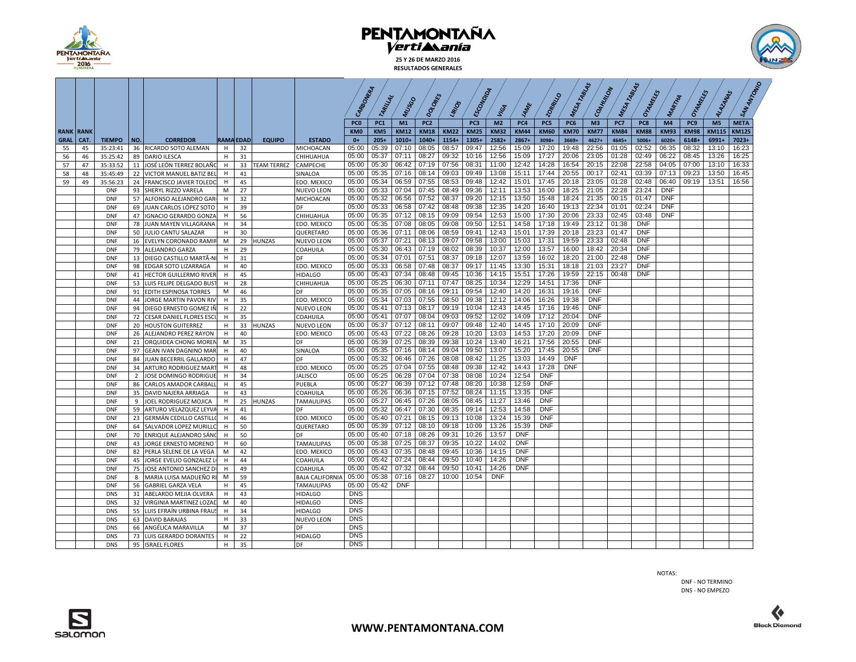

**25 Y 26 DE MARZO 2016 RESULTADOS GENERALES**



|                  |      |               |                |                               |             |                  |                    |                        |                 |                 |             |                 |             |                  |                |             |             | MESA TABLIS |                |             | TABLAS      |             |                 |                |              |
|------------------|------|---------------|----------------|-------------------------------|-------------|------------------|--------------------|------------------------|-----------------|-----------------|-------------|-----------------|-------------|------------------|----------------|-------------|-------------|-------------|----------------|-------------|-------------|-------------|-----------------|----------------|--------------|
|                  |      |               |                |                               |             |                  |                    |                        | CARBONIA        | TARILLAL        | MUSSO       | <b>DOLONES</b>  | LIRIOS      | <b>Ercompton</b> | VIGA           | 14ME        | PORRATIO    |             | COAHUULON      | MESA        | OHAMRES     | MARTINA     | Orangels        | ALAZANAS       |              |
|                  |      |               |                |                               |             |                  |                    |                        | PC <sub>0</sub> | PC <sub>1</sub> | M1          | PC <sub>2</sub> |             | PC3              | M <sub>2</sub> | PC4         | PC5         | PC6         | M <sub>3</sub> | PC7         | PC8         | M4          | PC <sub>9</sub> | M <sub>5</sub> | <b>META</b>  |
| <b>RANK RANK</b> |      |               |                |                               |             |                  |                    |                        | KM <sub>0</sub> | KM5             | <b>KM12</b> | <b>KM18</b>     | <b>KM22</b> | <b>KM25</b>      | <b>KM32</b>    | <b>KM44</b> | <b>KM60</b> | <b>KM70</b> | <b>KM77</b>    | <b>KM84</b> | <b>KM88</b> | <b>KM93</b> | <b>KM98</b>     | <b>KM115</b>   | <b>KM125</b> |
| <b>GRAL</b>      | CAT. | <b>TIEMPO</b> | NO.            | <b>CORREDOR</b>               |             | <b>RAMA EDAD</b> | <b>EQUIPO</b>      | <b>ESTADO</b>          | $0+$            | $205+$          | $1010+$     | $1040+$         | $1154+$     | 1305+            | 2582+          | 2867+       | 3098+       | $3669+$     | $4627+$        | 4645+       | 5006+       | 6020+       | 6148+           | 6991+          | 7023+        |
| 55               | 45   | 35:23:41      |                | 36 RICARDO SOTO ALEMAN        | H           | 32               |                    | MICHOACAN              | 05:00           | 05:39           | 07:10       | 08:05           | 08:57       | 09:47            | 12:56          | 15:09       | 17:20       | 19:48       | 22:56          | 01:05       | 02:52       | 06:35       | 08:32           | 13:10          | 16:23        |
| 56               | 46   | 35:25:42      |                | 89 DARIO ILESCA               | H           | 31               |                    | CHIHUAHUA              | 05:00           | 05:37           | 07:11       | 08:27           | 09:32       | 10:16            | 12:56          | 15:09       | 17:27       | 20:06       | 23:05          | 01:28       | 02:49       | 06:22       | 08:45           | 13:26          | 16:25        |
| 57               | 47   | 35:33:52      |                | 11 JOSÉ LEÓN TERREZ BOLAÑO    | H           | 33               | <b>TEAM TERREZ</b> | CAMPECHE               | 05:00           | 05:30           | 06:42       | 07:19           | 07:56       | 08:31            | 11:00          | 12:42       | 14:28       | 16:54       | 20:15          | 22:08       | 22:58       | 04:05       | 07:00           | 13:10          | 16:33        |
| 58               | 48   | 35:45:49      |                | 22 VICTOR MANUEL BATIZ BEL    | H           | 41               |                    | SINALOA                | 05:00           | 05:35           | 07:16       | 08:14           | 09:03       | 09:49            | 13:08          | 15:11       | 17:44       | 20:55       | 00:17          | 02:41       | 03:39       | 07:13       | 09:23           | 13:50          | 16:45        |
| 59               | 49   | 35:56:23      |                | 24 FRANCISCO JAVIER TOLEDO    | н           | 45               |                    | EDO. MEXICO            | 05:00           | 05:34           | 06:59       | 07:55           | 08:53       | 09:48            | 12:42          | 15:01       | 17:45       | 20:18       | 23:05          | 01:28       | 02:48       | 06:40       | 09:19           | 13:51          | 16:56        |
|                  |      | <b>DNF</b>    |                | 93 SHERYL RIZZO VARELA        | M           | 27               |                    | <b>NUEVO LEON</b>      | 05:00           | 05:33           | 07:04       | 07:45           | 08:49       | 09:36            | 12:11          | 13:53       | 16:00       | 18:25       | 21:05          | 22:28       | 23:24       | <b>DNF</b>  |                 |                |              |
|                  |      | <b>DNF</b>    |                | 57 ALFONSO ALEJANDRO GAR      | H           | 32               |                    | MICHOACAN              | 05:00           | 05:32           | 06:56       | 07:52           | 08:37       | 09:20            | 12:15          | 13:50       | 15:48       | 18:24       | 21:35          | 00:15       | 01:47       | <b>DNF</b>  |                 |                |              |
|                  |      | <b>DNF</b>    |                | 69 JUAN CARLOS LÓPEZ SOTO     | н           | 39               |                    | DF                     | 05:00           | 05:33           |             | 06:58 07:42     | 08:48       | 09:38            | 12:35          | 14:20       | 16:40       | 19:13       | 22:34          | 01:01       | 02:24       | <b>DNF</b>  |                 |                |              |
|                  |      | <b>DNF</b>    |                | 47 IGNACIO GERARDO GONZA      | H           | 56               |                    | CHIHUAHUA              | 05:00           | 05:35           | 07:12       | 08:15           | 09:09       | 09:54            | 12:53          | 15:00       | 17:30       | 20:06       | 23:33          | 02:45       | 03:48       | <b>DNF</b>  |                 |                |              |
|                  |      | <b>DNF</b>    | 78             | JUAN MAYEN VILLAGRANA         | н           | 34               |                    | EDO. MEXICO            | 05:00           | 05:35           | 07:08       | 08:05           | 09:08       | 09:50            | 12:51          | 14:58       | 17:18       | 19:49       | 23:12          | 01:38       | <b>DNF</b>  |             |                 |                |              |
|                  |      | <b>DNF</b>    |                | 50 JULIO CANTU SALAZAR        | H           | 30               |                    | QUERETARO              | 05:00           | 05:36           | 07:11       | 08:06           | 08:59       | 09:41            | 12:43          | 15:01       | 17:39       | 20:18       | 23:23          | 01:47       | <b>DNF</b>  |             |                 |                |              |
|                  |      | <b>DNF</b>    |                | 16 EVELYN CORONADO RAMIR      | M           | 29               | <b>HUNZAS</b>      | <b>NUEVO LEON</b>      | 05:00           | 05:37           | 07:21       | 08:13           | 09:07       | 09:58            | 13:00          | 15:03       | 17:31       | 19:59       | 23:33          | 02:48       | <b>DNF</b>  |             |                 |                |              |
|                  |      | <b>DNF</b>    | 79             | <b>ALEJANDRO GARZA</b>        | H           | 29               |                    | COAHUILA               | 05:00           | 05:30           | 06:43       | 07:19           | 08:02       | 08:39            | 10:37          | 12:00       | 13:57       | 16:00       | 18:42          | 20:34       | <b>DNF</b>  |             |                 |                |              |
|                  |      | <b>DNF</b>    |                | 13 DIEGO CASTILLO MARTÃ-NI    | H           | 31               |                    | DF                     | 05:00           | 05:34           | 07:01       | 07:51           | 08:37       | 09:18            | 12:07          | 13:59       | 16:02       | 18:20       | 21:00          | 22:48       | <b>DNF</b>  |             |                 |                |              |
|                  |      | <b>DNF</b>    | 98             | EDGAR SOTO LIZARRAGA          | H.          | 40               |                    | EDO. MEXICO            | 05:00           | 05:33           | 06:58       | 07:48           | 08:37       | 09:17            | 11:45          | 13:30       | 15:31       | 18:18       | 21:03          | 23:27       | <b>DNF</b>  |             |                 |                |              |
|                  |      | <b>DNF</b>    | 41             | <b>HECTOR GUILLERMO RIVER</b> | H           | 45               |                    | <b>HIDALGO</b>         | 05:00           | 05:43           | 07:34       | 08:48           | 09:45       | 10:36            | 14:15          | 15:51       | 17:26       | 19:59       | 22:15          | 00:48       | <b>DNF</b>  |             |                 |                |              |
|                  |      | <b>DNF</b>    | 53             | LUIS FELIPE DELGADO BUST      | н           | 28               |                    | CHIHUAHUA              | 05:00           | 05:25           | 06:30       | 07:11           | 07:47       | 08:25            | 10:34          | 12:29       | 14:51       | 17:36       | <b>DNF</b>     |             |             |             |                 |                |              |
|                  |      | <b>DNF</b>    | 91             | EDITH ESPINOSA TORRES         | M           | 46               |                    | DF                     | 05:00           | 05:35           | 07:05       | 08:16           | 09:11       | 09:54            | 12:40          | 14:20       | 16:31       | 19:16       | <b>DNF</b>     |             |             |             |                 |                |              |
|                  |      | <b>DNF</b>    |                | 44 JORGE MARTIN PAVON RIV     | $\mathsf H$ | 35               |                    | EDO. MEXICO            | 05:00           | 05:34           | 07:03       | 07:55           | 08:50       | 09:38            | 12:12          | 14:06       | 16:26       | 19:38       | <b>DNF</b>     |             |             |             |                 |                |              |
|                  |      | <b>DNF</b>    | 94             | DIEGO ERNESTO GOMEZ IÑ        | H           | 22               |                    | <b>NUEVO LEON</b>      | 05:00           | 05:41           | 07:13       | 08:17           | 09:19       | 10:04            | 12:43          | 14:45       | 17:16       | 19:46       | <b>DNF</b>     |             |             |             |                 |                |              |
|                  |      | <b>DNF</b>    | 72             | CESAR DANIEL FLORES ESCI      | H           | 35               |                    | COAHUILA               | 05:00           | 05:41           | 07:07       | 08:04           | 09:03       | 09:52            | 12:02          | 14:09       | 17:12       | 20:04       | <b>DNF</b>     |             |             |             |                 |                |              |
|                  |      | <b>DNF</b>    | 20             | <b>HOUSTON GUITERREZ</b>      | Н.          | 33               | <b>HUNZAS</b>      | <b>NUEVO LEON</b>      | 05:00           | 05:37           | 07:12       | 08:11           | 09:07       | 09:48            | 12:40          | 14:45       | 17:10       | 20:09       | <b>DNF</b>     |             |             |             |                 |                |              |
|                  |      | DNF           |                | 26 ALEJANDRO PEREZ RAYON      | Н.          | 40               |                    | EDO. MEXICO            | 05:00           | 05:43           | 07:22       | 08:26           | 09:28       | 10:20            | 13:03          | 14:53       | 17:20       | 20:09       | <b>DNF</b>     |             |             |             |                 |                |              |
|                  |      | <b>DNF</b>    | 21             | ORQUIDEA CHONG MOREN          | M           | 35               |                    | DF                     | 05:00           | 05:39           | 07:25       | 08:39           | 09:38       | 10:24            | 13:40          | 16:21       | 17:56       | 20:55       | <b>DNF</b>     |             |             |             |                 |                |              |
|                  |      | <b>DNF</b>    | 97             | <b>GEAN IVAN DAGNINO MAR</b>  | H           | 40               |                    | SINALOA                | 05:00           | 05:35           | 07:16       | 08:14           | 09:04       | 09:50            | 13:07          | 15:20       | 17:45       | 20:55       | <b>DNF</b>     |             |             |             |                 |                |              |
|                  |      | <b>DNF</b>    |                | 84 JUAN BECERRIL GALLARDO     | H           | 47               |                    | DF                     | 05:00           | 05:32           | 06:46       | 07:26           | 08:08       | 08:42            | 11:25          | 13:03       | 14:49       | <b>DNF</b>  |                |             |             |             |                 |                |              |
|                  |      | <b>DNF</b>    | 34             | ARTURO RODRIGUEZ MART         | н           | 48               |                    | EDO. MEXICO            | 05:00           | 05:25           | 07:04       | 07:55           | 08:48       | 09:38            | 12:42          | 14:43       | 17:28       | <b>DNF</b>  |                |             |             |             |                 |                |              |
|                  |      | <b>DNF</b>    | $\overline{2}$ | JOSE DOMINGO RODRIGUE         | Н.          | 34               |                    | <b>JALISCO</b>         | 05:00           | 05:25           | 06:28 07:04 |                 | 07:38       | 08:08            | 10:24          | 12:54       | <b>DNF</b>  |             |                |             |             |             |                 |                |              |
|                  |      | <b>DNF</b>    |                | 86 CARLOS AMADOR CARBALL      | H           | 45               |                    | PUEBLA                 | 05:00           | 05:27           | 06:39       | 07:12           | 07:48       | 08:20            | 10:38          | 12:59       | <b>DNF</b>  |             |                |             |             |             |                 |                |              |
|                  |      | <b>DNF</b>    | 35             | DAVID NAJERA ARRIAGA          | H           | 43               |                    | COAHUILA               | 05:00           | 05:26           | 06:36       | 07:15           | 07:52       | 08:24            | 11:15          | 13:35       | <b>DNF</b>  |             |                |             |             |             |                 |                |              |
|                  |      | <b>DNF</b>    | 9              | JOEL RODRIGUEZ MOJICA         | н           | 25               | <b>HUNZAS</b>      | <b>TAMAULIPAS</b>      | 05:00           | 05:27           | 06:45       | 07:26           | 08:05       | 08:45            | 11:27          | 13:46       | <b>DNF</b>  |             |                |             |             |             |                 |                |              |
|                  |      | <b>DNF</b>    |                | 59 ARTURO VELAZQUEZ LEYVA     | H           | 41               |                    | DF                     | 05:00           | 05:32           | 06:47       | 07:30           | 08:35       | 09:14            | 12:53          | 14:58       | <b>DNF</b>  |             |                |             |             |             |                 |                |              |
|                  |      | DNF           | 23             | GERMÁN CEDILLO CASTILLO       | H           | 46               |                    | EDO. MEXICO            | 05:00           | 05:40           | 07:21       | 08:15           | 09:13       | 10:08            | 13:24          | 15:39       | <b>DNF</b>  |             |                |             |             |             |                 |                |              |
|                  |      | <b>DNF</b>    |                | 64 SALVADOR LOPEZ MURILLO     | H           | 50               |                    | QUERETARO              | 05:00           | 05:39           | 07:12       | 08:10           | 09:18       | 10:09            | 13:26          | 15:39       | <b>DNF</b>  |             |                |             |             |             |                 |                |              |
|                  |      | <b>DNF</b>    |                | 70 ENRIQUE ALEJANDRO SÁNO     | н           | 50               |                    | DF                     | 05:00           | 05:40           | 07:18       | 08:26           | 09:31       | 10:26            | 13:57          | <b>DNF</b>  |             |             |                |             |             |             |                 |                |              |
|                  |      | <b>DNF</b>    |                | 43 JORGE ERNESTO MORENO       | Н.          | 60               |                    | <b>TAMAULIPAS</b>      | 05:00           | 05:38           | 07:25       | 08:37           | 09:35       | 10:22            | 14:02          | <b>DNF</b>  |             |             |                |             |             |             |                 |                |              |
|                  |      | <b>DNF</b>    |                | 82 PERLA SELENE DE LA VEGA    | M           | 42               |                    | EDO. MEXICO            | 05:00           | 05:43           | 07:35       | 08:48           | 09:45       | 10:36            | 14:15          | <b>DNF</b>  |             |             |                |             |             |             |                 |                |              |
|                  |      | <b>DNF</b>    |                | 45 JORGE EVELIO GONZALEZ L    | н           | 44               |                    | COAHUILA               | 05:00           | 05:42           | 07:24       | 08:44           | 09:50       | 10:40            | 14:26          | <b>DNF</b>  |             |             |                |             |             |             |                 |                |              |
|                  |      | <b>DNF</b>    | 75             | JOSE ANTONIO SANCHEZ DI       | H           | 49               |                    | COAHUILA               | 05:00           | 05:42           | 07:32       | 08:44           | 09:50       | 10:41            | 14:26          | <b>DNF</b>  |             |             |                |             |             |             |                 |                |              |
|                  |      | DNF           | 8              | MARIA LUISA MADUEÑO RI        | M           | 59               |                    | <b>BAJA CALIFORNIA</b> | 05:00           | 05:38           | 07:16       | 08:27           | 10:00       | 10:54            | <b>DNF</b>     |             |             |             |                |             |             |             |                 |                |              |
|                  |      | <b>DNF</b>    | 56             | <b>GABRIEL GARZA VELA</b>     | н           | 45               |                    | TAMAULIPAS             | 05:00           | 05:42           | <b>DNF</b>  |                 |             |                  |                |             |             |             |                |             |             |             |                 |                |              |
|                  |      | <b>DNS</b>    |                | 31 ABELARDO MEJIA OLVERA      | H           | 43               |                    | <b>HIDALGO</b>         | <b>DNS</b>      |                 |             |                 |             |                  |                |             |             |             |                |             |             |             |                 |                |              |
|                  |      | <b>DNS</b>    |                | 32 VIRGINIA MARTINEZ LOZAD    | M           | 40               |                    | <b>HIDALGO</b>         | <b>DNS</b>      |                 |             |                 |             |                  |                |             |             |             |                |             |             |             |                 |                |              |
|                  |      | <b>DNS</b>    |                | 55 LUIS EFRAÍN URBINA FRAUS   | H           | 34               |                    | <b>HIDALGO</b>         | <b>DNS</b>      |                 |             |                 |             |                  |                |             |             |             |                |             |             |             |                 |                |              |
|                  |      | <b>DNS</b>    |                | 63 DAVID BARAJAS              | н           | 33               |                    | <b>NUEVO LEON</b>      | <b>DNS</b>      |                 |             |                 |             |                  |                |             |             |             |                |             |             |             |                 |                |              |
|                  |      | <b>DNS</b>    | 66             | ANGÉLICA MARAVILLA            | M           | 37               |                    | DF                     | <b>DNS</b>      |                 |             |                 |             |                  |                |             |             |             |                |             |             |             |                 |                |              |
|                  |      | <b>DNS</b>    | 73             | LUIS GERARDO DORANTES         | H           | 22               |                    | <b>HIDALGO</b>         | <b>DNS</b>      |                 |             |                 |             |                  |                |             |             |             |                |             |             |             |                 |                |              |
|                  |      | <b>DNS</b>    | 95             | <b>ISRAEL FLORES</b>          | H.          | 35               |                    | DF                     | <b>DNS</b>      |                 |             |                 |             |                  |                |             |             |             |                |             |             |             |                 |                |              |

NOTAS:

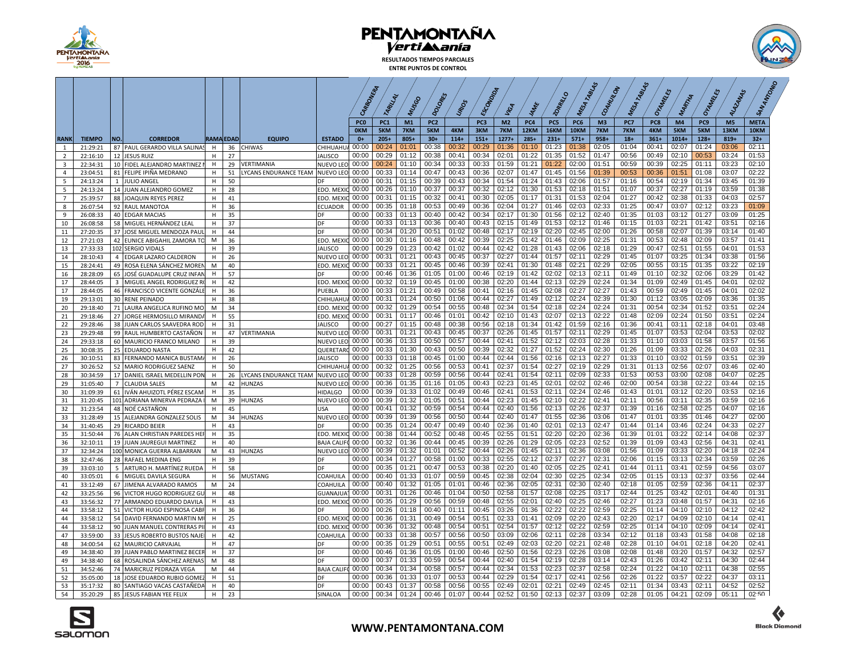

**RESULTADOS TIEMPOS PARCIALES ENTRE PUNTOS DE CONTROL**



|                     |                      |                   |                                                      |             |                  |                                |                                    |                 |                 |                |                 |                |                |                |                |                  |                | TABLAS         | $\tilde{\delta}$ |                |                |                 |                |                |
|---------------------|----------------------|-------------------|------------------------------------------------------|-------------|------------------|--------------------------------|------------------------------------|-----------------|-----------------|----------------|-----------------|----------------|----------------|----------------|----------------|------------------|----------------|----------------|------------------|----------------|----------------|-----------------|----------------|----------------|
|                     |                      |                   |                                                      |             |                  |                                |                                    | CARBONERA       |                 |                |                 |                |                |                |                |                  | $\circ$        | GAHUNG         |                  | Oranters       |                | Oranters        | ALAZANAS       |                |
|                     |                      |                   |                                                      |             |                  |                                |                                    |                 | TARILLAL        | MUSSO          | $\mathcal{O}_Q$ | LIRIOS         | <b>ECON</b>    | VIGA           |                | 20 <sub>Pp</sub> | MESA           |                | MESA             |                | MARTIA         |                 |                |                |
|                     |                      |                   |                                                      |             |                  |                                |                                    | PC <sub>0</sub> | PC <sub>1</sub> | M1             | PC <sub>2</sub> |                | PC3            | M <sub>2</sub> | PC4            | PC5              | PC6            | M <sub>3</sub> | PC7              | PC8            | M4             | PC <sub>9</sub> | M <sub>5</sub> | <b>META</b>    |
|                     |                      |                   |                                                      |             |                  |                                |                                    | <b>OKM</b>      | 5KM             | 7KM            | 5KM             | 4KM            | 3KM            | 7KM            | 12KM           | <b>16KM</b>      | 10KM           | 7KM            | 7KM              | 4KM            | 5KM            | 5KM             | 13KM           | 10KM           |
| <b>RANK</b>         | <b>TIEMPO</b>        | NO.               | <b>CORREDOR</b>                                      |             | <b>RAMA EDAD</b> | <b>EQUIPO</b>                  | <b>ESTADO</b>                      | $0+$            | $205+$          | $805+$         | $30+$           | $114+$         | $151+$         | $1277+$        | $285+$         | $231+$           | $571+$         | $958+$         | $18+$            | $361+$         | $1014+$        | $128 +$         | $819+$         | $32+$          |
| 1<br>$\overline{2}$ | 21:29:21<br>22:16:10 |                   | 87 PAUL GERARDO VILLA SALINAS<br>12 JESUS RUIZ       | H<br>н      | 36<br>27         | CHIWAS                         | CHIHUAHU<br><b>JALISCO</b>         | 00:00<br>00:00  | 00:24<br>00:29  | 01:01<br>01:12 | 00:38<br>00:38  | 00:32<br>00:41 | 00:29<br>00:34 | 01:36<br>02:01 | 01:10<br>01:22 | 01:23<br>01:35   | 01:38<br>01:52 | 02:05<br>01:47 | 01:04<br>00:56   | 00:41<br>00:49 | 02:07<br>02:10 | 01:24<br>00:53  | 03:06<br>03:24 | 02:11<br>01:53 |
| $\overline{3}$      | 22:34:31             | 10                | FIDEL ALEJANDRO MARTINEZ                             | н           | 29               | VERTIMANIA                     | <b>NUEVO LEO</b>                   | 00:00           | 00:24           | 01:10          | 00:34           | 00:33          | 00:33          | 01:59          | 01:21          | 01:22            | 02:00          | 01:51          | 00:59            | 00:39          | 02:25          | 01:11           | 03:23          | 02:10          |
| $\overline{4}$      | 23:04:51             | 81                | FELIPE IPIÑA MEDRANO                                 | н           | 51               | YCANS ENDURANCE TEAM NUEVO LEO |                                    | 00:00           | 00:33           | 01:14          | 00:47           | 00:43          | 00:36          | 02:07          | 01:47          | 01:45            | 01:56          | 01:39          | 00:53            | 00:36          | 01:51          | 01:08           | 03:07          | 02:22          |
| 5                   | 24:13:24             | $\mathbf{1}$      | <b>JULIO ANGEL</b>                                   | н           | 50               |                                | DF                                 | 00:00           | 00:31           | 01:15          | 00:39           | 00:43          | 00:34          | 01:54          | 01:24          | 01:43            | 02:06          | 01:57          | 01:16            | 00:54          | 02:19          | 01:34           | 03:45          | 01:39          |
| 5                   | 24:13:24             | 14                | JUAN ALEJANDRO GOMEZ                                 | н           | 28               |                                | EDO, MEXIC                         | 00:00           | 00:26           | 01:10          | 00:37           | 00:37          | 00:32          | 02:12          | 01:30          | 01:53            | 02:18          | 01:51          | 01:07            | 00:37          | 02:27          | 01:19           | 03:59          | 01:38          |
| $\overline{7}$      | 25:39:57             | 88                | JOAQUIN REYES PEREZ                                  | н           | 41               |                                | EDO. MEXIC                         | 00:00           | 00:31           | 01:15          | 00:32           | 00:41          | 00:30          | 02:05          | 01:17          | 01:31            | 01:53          | 02:04          | 01:27            | 00:42          | 02:38          | 01:33           | 04:03          | 02:57          |
| 8                   | 26:07:54             | 92                | RAUL MANOTOA                                         | н           | 36<br>35         |                                | <b>ECUADOR</b><br>DF               | 00:00<br>00:00  | 00:35<br>00:33  | 01:18<br>01:13 | 00:53<br>00:40  | 00:49<br>00:42 | 00:36<br>00:34 | 02:04<br>02:17 | 01:27<br>01:30 | 01:46<br>01:56   | 02:03<br>02:12 | 02:33<br>02:40 | 01:25<br>01:35   | 00:47<br>01:03 | 03:07<br>03:12 | 02:12<br>01:27  | 03:23<br>03:09 | 01:09<br>01:25 |
| $9$<br>10           | 26:08:33<br>26:08:58 | 58                | 40 EDGAR MACIAS<br>MIGUEL HERNÁNDEZ LEAL             | н<br>н      | 37               |                                | DF                                 | 00:00           | 00:33           | 01:13          | 00:36           | 00:40          | 00:43          | 02:15          | 01:49          | 01:53            | 02:12          | 01:46          | 01:15            | 01:03          | 02:21          | 01:42           | 03:51          | 02:16          |
| 11                  | 27:20:35             |                   | 37 JOSE MIGUEL MENDOZA PAU                           | $\mathsf H$ | 44               |                                | DF                                 | 00:00           | 00:34           | 01:20          | 00:51           | 01:02          | 00:48          | 02:17          | 02:19          | 02:20            | 02:45          | 02:00          | 01:26            | 00:58          | 02:07          | 01:39           | 03:14          | 01:40          |
| 12                  | 27:21:03             | 42                | EUNICE ABIGAHIL ZAMORA TO                            | М           | 36               |                                | EDO, MEXIO                         | 00:00           | 00:30           | 01:16          | 00:48           | 00:42          | 00:39          | 02:25          | 01:42          | 01:46            | 02:09          | 02:25          | 01:31            | 00:53          | 02:48          | 02:09           | 03:57          | 01:41          |
| 13                  | 27:33:33             |                   | 102 SERGIO VIDALS                                    | н           | 39               |                                | <b>JALISCO</b>                     | 00:00           | 00:29           | 01:23          | 00:42           | 01:02          | 00:44          | 02:42          | 01:28          | 01:43            | 02:06          | 02:18          | 01:29            | 00:47          | 02:51          | 01:55           | 04:01          | 01:53          |
| 14                  | 28:10:43             | $\overline{a}$    | <b>EDGAR LAZARO CALDERON</b>                         | н           | 26               |                                | <b>NUEVO LEO</b>                   | 00:00           | 00:31           | 01:21          | 00:43           | 00:45          | 00:37          | 02:27          | 01:44          | 01:57            | 02:11          | 02:29          | 01:45            | 01:07          | 03:25          | 01:34           | 03:38          | 01:56          |
| 15                  | 28:24:41             | 49                | ROSA ELENA SÁNCHEZ MORE                              | M           | 40               |                                | EDO. MEXIC                         | 00:00           | 00:33           | 01:21          | 00:45           | 00:46          | 00:39          | 02:41          | 01:30          | 01:48            | 02:21          | 02:29          | 02:05            | 00:55          | 03:15          | 01:35           | 03:22          | 02:19          |
| 16                  | 28:28:09             |                   | 65 JOSÉ GUADALUPE CRUZ INFAI                         | $\mathsf H$ | 57               |                                | DF                                 | 00:00           | 00:46           | 01:36          | 01:05           | 01:00          | 00:46          | 02:19          | 01:42          | 02:02            | 02:13          | 02:11          | 01:49            | 01:10          | 02:32          | 02:06           | 03:29          | 01:42          |
| 17                  | 28:44:05             | 3                 | MIGUEL ANGEL RODRIGUEZ                               | H           | 42               |                                | EDO. MEXIC                         | 00:00           | 00:32           | 01:19          | 00:45           | 01:00          | 00:38<br>00:41 | 02:20          | 01:44          | 02:13<br>02:08   | 02:29<br>02:27 | 02:24<br>02:27 | 01:34<br>01:43   | 01:09          | 02:49          | 01:45           | 04:01<br>04:01 | 02:02          |
| 17                  | 28:44:05             |                   | 46 FRANCISCO VICENTE GONZÁLE                         | H           | 36               |                                | PUEBLA                             | 00:00<br>00:00  | 00:33<br>00:31  | 01:21<br>01:24 | 00:49<br>00:50  | 00:58<br>01:06 | 00:44          | 02:16<br>02:27 | 01:45<br>01:49 | 02:12            | 02:24          | 02:39          | 01:30            | 00:59<br>01:12 | 02:49<br>03:05 | 01:45<br>02:09  | 03:36          | 02:02<br>01:35 |
| 19<br>20            | 29:13:01<br>29:18:40 | 30<br>71          | <b>RENE PEINADO</b><br>LAURA ANGELICA RUFINO MC      | н<br>M      | 38<br>34         |                                | CHIHUAHU,<br>EDO. MEXIC            | 00:00           | 00:32           | 01:29          | 00:54           | 00:55          | 00:48          | 02:34          | 01:54          | 02:18            | 02:24          | 02:24          | 01:31            | 00:54          | 02:34          | 01:52           | 03:51          | 02:24          |
| 21                  | 29:18:46             | 27                | JORGE HERMOSILLO MIRAND                              | H           | 55               |                                | EDO, MEXIC                         | 00:00           | 00:31           | 01:17          | 00:46           | 01:01          | 00:42          | 02:10          | 01:43          | 02:07            | 02:13          | 02:22          | 01:48            | 02:09          | 02:24          | 01:50           | 03:51          | 02:24          |
| 22                  | 29:28:46             | 38                | JUAN CARLOS SAAVEDRA ROD                             | H           | 31               |                                | <b>JALISCO</b>                     | 00:00           | 00:27           | 01:15          | 00:48           | 00:38          | 00:56          | 02:18          | 01:34          | 01:42            | 01:59          | 02:16          | 01:36            | 00:41          | 03:11          | 02:18           | 04:01          | 03:48          |
| 23                  | 29:29:48             | 99                | RAUL HUMBERTO CASTAÑON                               | H           | 47               | <b>/ERTIMANIA</b>              | <b>NUEVO LEO</b>                   | 00:00           | 00:31           | 01:21          | 00:43           | 00:45          | 00:37          | 02:26          | 01:45          | 01:57            | 02:11          | 02:29          | 01:45            | 01:07          | 03:53          | 02:04           | 03:53          | 02:02          |
| 24                  | 29:33:18             | 60                | MAURICIO FRANCO MILANO                               | H           | 39               |                                | <b>NUEVO LEO</b>                   | 00:00           | 00:36           | 01:33          | 00:50           | 00:57          | 00:44          | 02:41          | 01:52          | 02:12            | 02:03          | 02:28          | 01:33            | 01:10          | 03:03          | 01:58           | 03:57          | 01:56          |
| 25                  | 30:08:35             |                   | 25 EDUARDO NASTA                                     | н           | 42               |                                | QUERETARC                          | 00:00           | 00:33           | 01:30          | 00:43           | 00:50          | 00:39          | 02:32          | 01:27          | 01:52            | 02:24          | 02:30          | 01:26            | 01:09          | 03:33          | 02:26           | 04:03          | 02:31          |
| 26                  | 30:10:51             | 83                | FERNANDO MANICA BUSTAM                               | н           | 26               |                                | <b>JALISCO</b>                     | 00:00           | 00:33           | 01:18          | 00:45           | 01:00          | 00:44          | 02:44          | 01:56          | 02:16            | 02:13          | 02:27          | 01:33            | 01:10          | 03:02          | 01:59           | 03:51          | 02:39          |
| 27                  | 30:26:52             | 52                | MARIO RODRIGUEZ SAENZ                                | н           | 50               |                                | CHIHUAHU                           | 00:00           | 00:32           | 01:25          | 00:56           | 00:53          | 00:41          | 02:37          | 01:54          | 02:27            | 02:19          | 02:29          | 01:31            | 01:13          | 02:56          | 02:07           | 03:46          | 02:40          |
| 28                  | 30:34:59             | 17                | DANIEL ISRAEL MEDELLIN POM                           | H           | 26               | YCANS ENDURANCE TEAM           | <b>NUEVO LEO</b>                   | 00:00           | 00:33<br>00:36  | 01:28<br>01:35 | 00:59<br>01:16  | 00:56<br>01:05 | 00:44<br>00:43 | 02:41<br>02:23 | 01:54<br>01:45 | 02:11<br>02:01   | 02:09<br>02:02 | 02:33<br>02:46 | 01:53<br>02:00   | 00:53<br>00:54 | 03:00<br>03:38 | 02:08<br>02:22  | 04:07<br>03:44 | 02:25<br>02:15 |
| 29<br>30            | 31:05:40<br>31:09:39 | $7^{\circ}$<br>61 | <b>CLAUDIA SALES</b><br>IVÁN AHUIZOTL PÉREZ ESCAN    | M<br>H      | 42<br>35         | <b>IUNZAS</b>                  | <b>NUEVO LEO</b><br><b>HIDALGO</b> | 00:00<br>00:00  | 00:39           | 01:33          | 01:02           | 00:49          | 00:46          | 02:41          | 01:53          | 02:11            | 02:24          | 02:46          | 01:43            | 01:01          | 03:12          | 02:20           | 03:53          | 02:16          |
| 31                  | 31:20:45             |                   | 101 ADRIANA MINERVA PEDRAZA                          | M           | 39               | HUNZAS                         | <b>NUEVO LEO</b>                   | 00:00           | 00:39           | 01:32          | 01:05           | 00:51          | 00:44          | 02:23          | 01:45          | 02:10            | 02:22          | 02:41          | 02:11            | 00:56          | 03:11          | 02:35           | 03:59          | 02:16          |
| 32                  | 31:23:54             |                   | 48 NOÉ CASTAÑON                                      | н           | 45               |                                | <b>USA</b>                         | 00:00           | 00:41           | 01:32          | 00:59           | 00:54          | 00:44          | 02:40          | 01:56          | 02:13            | 02:26          | 02:37          | 01:39            | 01:16          | 02:58          | 02:25           | 04:07          | 02:16          |
| 33                  | 31:28:49             | 15                | ALEJANDRA GONZALEZ SOLIS                             | M           | 34               | <b>HUNZAS</b>                  | <b>NUEVO LEO</b>                   | 00:00           | 00:39           | 01:39          | 00:56           | 00:50          | 00:44          | 02:40          | 01:47          | 01:55            | 02:36          | 03:06          | 01:47            | 01:01          | 03:35          | 01:46           | 04:27          | 02:00          |
| 34                  | 31:40:45             | 29                | <b>RICARDO BEIER</b>                                 | Н.          | 43               |                                | DF                                 | 00:00           | 00:35           | 01:24          | 00:47           | 00:49          | 00:40          | 02:36          | 01:40          | 02:01            | 02:13          | 02:47          | 01:44            | 01:14          | 03:46          | 02:24           | 04:33          | 02:27          |
| 35                  | 31:50:44             | 76                | ALAN CHRISTIAN PAREDES HE                            | H           | 35               |                                | EDO. MEXIC 00:00                   |                 | 00:38           | 01:44          | 00:52           | 00:48          | 00:45          | 02:55          | 01:51          | 02:20            | 02:20          | 02:36          | 01:39            | 01:01          | 03:22          | 02:14           | 04:08          | 02:37          |
| 36                  | 32:10:11             | 19                | JUAN JAUREGUI MARTINEZ                               | н           | 40               |                                | <b>BAJA CALIF</b>                  | 00:00           | 00:32           | 01:36          | 00:44           | 00:45          | 00:39          | 02:26          | 01:29          | 02:05            | 02:23          | 02:52          | 01:39            | 01:09          | 03:43          | 02:56           | 04:31          | 02:41          |
| 37                  | 32:34:24             |                   | 100 MONICA GUERRA ALBARRAN                           | М           | 43               | HUNZAS                         | <b>NUEVO LEO</b>                   | 00:00           | 00:39           | 01:32          | 01:01           | 00:52          | 00:44          | 02:26          | 01:45          | 02:11            | 02:36          | 03:08          | 01:56            | 01:09          | 03:33          | 02:20           | 04:18          | 02:24          |
| 38                  | 32:47:46             | 28                | RAFAEL MEDINA ENG                                    | н           | 39<br>58         |                                | DF<br>DF                           | 00:00<br>00:00  | 00:34<br>00:35  | 01:27<br>01:21 | 00:58<br>00:47  | 01:00<br>00:53 | 00:33<br>00:38 | 02:55<br>02:20 | 02:12<br>01:40 | 02:37<br>02:05   | 02:27<br>02:25 | 02:31<br>02:41 | 02:06<br>01:44   | 01:15<br>01:11 | 03:13<br>03:41 | 02:34<br>02:59  | 03:59<br>04:56 | 02:26<br>03:07 |
| 39<br>40            | 33:03:10<br>33:05:01 | 5<br>6            | ARTURO H. MARTÍNEZ RUEDA<br>MIGUEL DAVILA SEGURA     | H<br>н      | 56               | MUSTANG                        | <b>COAHUILA</b>                    | 00:00           | 00:40           | 01:33          | 01:07           | 00:59          | 00:45          | 02:38          | 02:04          | 02:30            | 02:25          | 02:34          | 02:05            | 01:15          | 03:13          | 02:37           | 03:56          | 02:44          |
| 41                  | 33:12:49             | 67                | JIMENA ALVARADO RAMOS                                | М           | 24               |                                | <b>COAHUILA</b>                    | 00:00           | 00:40           | 01:32          | 01:05           | 01:01          | 00:46          | 02:36          | 02:05          | 02:31            | 02:30          | 02:40          | 02:18            | 01:05          | 02:59          | 02:36           | 04:11          | 02:37          |
| 42                  | 33:25:56             | 96                | <b>VICTOR HUGO RODRIGUEZ GI</b>                      | н           | 48               |                                | <b>GUANAJUA</b>                    | 00:00           | 00:31           | 01:26          | 00:46           | 01:04          | 00:50          | 02:58          | 01:57          | 02:08            | 02:25          | 03:17          | 02:44            | 01:25          | 03:42          | 02:01           | 04:40          | 01:31          |
| 43                  | 33:56:32             | 77                | ARMANDO EDUARDO DAVILA                               | H           | 43               |                                | EDO. MEXIC                         | 00:00           | 00:35           | 01:29          | 00:56           | 00:59          | 00:48          | 02:55          | 02:01          | 02:40            | 02:25          | 02:46          | 02:27            | 01:23          | 03:48          | 01:57           | 04:31          | 02:16          |
| 44                  | 33:58:12             |                   | 51 VICTOR HUGO ESPINOSA CAB                          | н           | 36               |                                | DF                                 | 00:00           | 00:26           | 01:18          | 00:40           | 01:11          | 00:45          | 03:26          | 01:36          | 02:22            | 02:22          | 02:59          | 02:25            | 01:14          | 04:10          | 02:10           | 04:12          | 02:42          |
| 44                  | 33:58:12             | 54                | DAVID FERNANDO MARTIN M                              | H           | 25               |                                | EDO. MEXIC                         | 00:00           | 00:36           | 01:3'          | 00:49           | 00:54          | 00:51          | 02:33          | 01:41          | 02:09            | 02:20          | 02:43          | 02:20            | 02:17          | 04:09          | 02:10           | 04:14          | 02:41          |
| 44                  | 33:58:12             |                   | 90 JUAN MANUEL CONTRERAS PI                          | Н           | 43               |                                | EDO. MEXIC 00:00                   |                 | 00:36           | 01:32          | 00:48           | 00:54          | 00:51          | 02:54          | 01:57          | 02:12            | 02:22          | 02:59          | 02:25            | 01:14          | 04:10          | 02:09           | 04:14          | 02:41          |
| 47                  | 33:59:00             | 33                | JESUS ROBERTO BUSTOS NAJE                            | н           | 42               |                                | COAHUILA                           | 00:00           | 00:33           | 01:38          | 00:57           | 00:56          | 00:50          | 03:09          | 02:06          | 02:11            | 02:28          | 03:34          | 02:12            | 01:18          | 03:43          | 01:58           | 04:08          | 02:18          |
| 48                  | 34:00:54             |                   | 62 MAURICIO CARVAJAL                                 | н           | 47               |                                | DF                                 | 00:00<br>00:00  | 00:35           | 01:29          | 00:51<br>01:05  | 00:55          | 00:51<br>00:46 | 02:49<br>02:50 | 02:03<br>01:56 | 02:20            | 02:21<br>02:26 | 02:48<br>03:08 | 02:28<br>02:08   | 01:10<br>01:48 | 04:01<br>03:20 | 02:18           | 04:20<br>04:32 | 02:41<br>02:57 |
| 49<br>49            | 34:38:40<br>34:38:40 | 39<br>68          | JUAN PABLO MARTINEZ BECE<br>ROSALINDA SÁNCHEZ ARENAS | H<br>M      | 37<br>48         |                                | DF<br>DF                           | 00:00           | 00:46<br>00:37  | 01:36<br>01:33 | 00:59           | 01:00<br>00:54 | 00:44          | 02:40          | 01:54          | 02:23<br>02:19   | 02:28          | 03:14          | 02:43            | 01:26          | 03:42          | 01:57<br>02:11  | 04:30          | 02:44          |
| 51                  | 34:52:46             | 74                | MARICRUZ PEDRAZA VEGA                                | M           | 44               |                                | <b>BAJA CALIFO</b>                 | 00:00           | 00:34           | 01:34          | 00:58           | 00:57          | 00:44          | 02:34          | 01:53          | 02:23            | 02:37          | 02:58          | 02:24            | 01:22          | 04:10          | 02:11           | 04:38          | 02:55          |
| 52                  | 35:05:00             | 18                | JOSE EDUARDO RUBIO GOME                              | H           | 51               |                                | DF                                 | 00:00           | 00:36           | 01:33          | 01:07           | 00:53          | 00:44          | 02:29          | 01:54          | 02:17            | 02:41          | 02:56          | 02:26            | 01:22          | 03:57          | 02:22           | 04:37          | 03:11          |
| 53                  | 35:17:32             | 80                | SANTIAGO VACAS CASTAÑEDA                             | н           | 40               |                                | DF                                 | 00:00           | 00:43           | 01:37          | 00:58           | 00:56          | 00:55          | 02:49          | 02:01          | 02:21            | 02:49          | 02:45          | 02:11            | 01:34          | 03:43          | 02:11           | 04:52          | 02:52          |
| 54                  | 35:20:29             | 85                | JESUS FABIAN YEE FELIX                               | H           | 23               |                                | SINALOA                            | 00:00           | 00:34           | 01:24          | 00:46           | 01:07          | 00:44          | 02:52          | 01:50          | 02:13            | 02:37          | 03:09          | 02:28            | 01:05          | 04:21          | 02:09           | 05:11          | 02:50          |



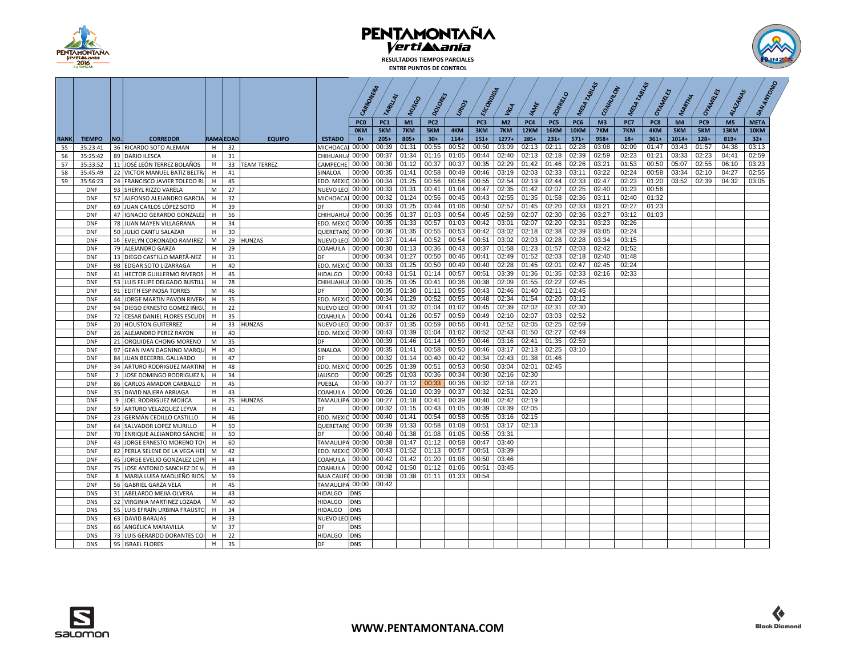

**RESULTADOS TIEMPOS PARCIALES ENTRE PUNTOS DE CONTROL**



|             |                          |                                                              |              |                  |                |                         | CARBONERA                     |                        |                |                        |                | <b>ESCONDOTO</b> |                       |                | <b>20 RPMLIS</b>   |                | Mayor<br>COAKUNON |                | Maudis<br>Orangels |           | OHAMELES   | ALAZANAS               |                     |  |
|-------------|--------------------------|--------------------------------------------------------------|--------------|------------------|----------------|-------------------------|-------------------------------|------------------------|----------------|------------------------|----------------|------------------|-----------------------|----------------|--------------------|----------------|-------------------|----------------|--------------------|-----------|------------|------------------------|---------------------|--|
|             |                          |                                                              |              |                  |                |                         |                               | TARILLAL               | MUSSO          | DOI ORE                | LIRIDOS        |                  | <b>VIGA</b>           | MM             |                    | MESA           |                   | MESA           |                    | MARTIA    |            |                        |                     |  |
|             |                          |                                                              |              |                  |                |                         |                               |                        |                |                        |                |                  |                       |                |                    |                |                   |                |                    |           |            |                        |                     |  |
|             |                          |                                                              |              |                  |                |                         | PC <sub>0</sub><br><b>OKM</b> | PC <sub>1</sub><br>5KM | M1<br>7KM      | PC <sub>2</sub><br>5KM | 4KM            | PC3<br>3KM       | M <sub>2</sub><br>7KM | PC4<br>12KM    | PC5<br><b>16KM</b> | PC6<br>10KM    | M3<br>7KM         | PC7<br>7KM     | PC8<br>4KM         | M4<br>5KM | PC9<br>5KM | M <sub>5</sub><br>13KM | <b>META</b><br>10KM |  |
| <b>RANK</b> | <b>TIEMPO</b>            | <b>CORREDOR</b><br>NO.                                       |              | <b>RAMA EDAD</b> | <b>EQUIPO</b>  | <b>ESTADO</b>           | $0+$                          | $205+$                 | $805+$         | $30+$                  | $114+$         | $151+$           | $1277+$               | $285+$         | $231+$             | $571+$         | $958+$            | $18+$          | $361+$             | $1014+$   | $128 +$    | $819+$                 | $32+$               |  |
| 55          | 35:23:41                 | 36 RICARDO SOTO ALEMAN                                       | H            | 32               |                | MICHOACAI               | 00:00                         | 00:39                  | 01:31          | 00:55                  | 00:52          | 00:50            | 03:09                 | 02:13          | 02:11              | 02:28          | 03:08             | 02:09          | 01:47              | 03:43     | 01:57      | 04:38                  | 03:13               |  |
| 56          | 35:25:42                 | 89 DARIO ILESCA                                              | H            | 31               |                | CHIHUAHUA 00:00         |                               | 00:37                  | 01:34          | 01:16                  | 01:05          | 00:44            | 02:40                 | 02:13          | 02:18              | 02:39          | 02:59             | 02:23          | 01:21              | 03:33     | 02:23      | 04:41                  | 02:59               |  |
| 57          | 35:33:52                 | 11 JOSÉ LEÓN TERREZ BOLAÑOS                                  | Н.           |                  | 33 TEAM TERREZ | CAMPECHE                | 00:00                         | 00:30                  | 01:12          | 00:37                  | 00:37          | 00:35            | 02:29                 | 01:42          | 01:46              | 02:26          | 03:21             | 01:53          | 00:50              | 05:07     | 02:55      | 06:10                  | 03:23               |  |
| 58          | 35:45:49                 | 22 VICTOR MANUEL BATIZ BELTRA                                | H            | 41               |                | SINALOA                 | 00:00                         | 00:35                  | 01:41          | 00:58                  | 00:49          | 00:46            | 03:19                 | 02:03          | 02:33              | 03:11          | 03:22             | 02:24          | 00:58              | 03:34     | 02:10      | 04:27                  | 02:55               |  |
| 59          | 35:56:23                 | 24 FRANCISCO JAVIER TOLEDO RU                                | H            | 45               |                | <b>EDO. MEXIC 00:00</b> |                               | 00:34                  | 01:25          | 00:56                  | 00:58          | 00:55            | 02:54                 | 02:19          | 02:44              | 02:33          | 02:47             | 02:23          | 01:20              | 03:52     | 02:39      | 04:32                  | 03:05               |  |
|             | <b>DNF</b>               | 93 SHERYL RIZZO VARELA                                       | М            | 27               |                | NUEVO LEO 00:00         |                               | 00:33                  | 01:31          | 00:41                  | 01:04          | 00:47            | 02:35                 | 01:42          | 02:07              | 02:25          | 02:40             | 01:23          | 00:56              |           |            |                        |                     |  |
|             | <b>DNF</b>               | 57 ALFONSO ALEJANDRO GARCIA                                  | H            | 32               |                | MICHOACAL               | 00:00                         | 00:32                  | 01:24          | 00:56                  | 00:45          | 00:43            | 02:55                 | 01:35          | 01:58              | 02:36          | 03:11             | 02:40          | 01:32              |           |            |                        |                     |  |
|             | <b>DNF</b>               | 69 JUAN CARLOS LÓPEZ SOTO                                    | H            | 39               |                | DF                      | 00:00                         | 00:33                  | 01:25          | 00:44                  | 01:06          | 00:50            | 02:57                 | 01:45          | 02:20              | 02:33          | 03:21             | 02:27          | 01:23              |           |            |                        |                     |  |
|             | <b>DNF</b>               | 47   IGNACIO GERARDO GONZALEZ                                | H            | 56               |                | CHIHUAHU/ 00:00         |                               | 00:35                  | 01:37          | 01:03                  | 00:54          | 00:45            | 02:59                 | 02:07          | 02:30              | 02:36          | 03:27             | 03:12          | 01:03              |           |            |                        |                     |  |
|             | <b>DNF</b>               | 78 JUAN MAYEN VILLAGRANA                                     | H            | 34               |                | <b>EDO. MEXIC 00:00</b> |                               | 00:35                  | 01:33          | 00:57                  | 01:03          | 00:42            | 03:01                 | 02:07          | 02:20              | 02:31          | 03:23             | 02:26          |                    |           |            |                        |                     |  |
|             | <b>DNF</b>               | 50 JULIO CANTU SALAZAR                                       | H            | 30               |                | QUERETARC 00:00         |                               | 00:36                  | 01:35          | 00:55                  | 00:53          | 00:42            | 03:02                 | 02:18          | 02:38              | 02:39          | 03:05             | 02:24          |                    |           |            |                        |                     |  |
|             | <b>DNF</b>               | 16 EVELYN CORONADO RAMIREZ                                   | M            |                  | 29 HUNZAS      | NUEVO LEO 00:00         |                               | 00:37<br>00:30         | 01:44          | 00:52<br>00:36         | 00:54          | 00:51<br>00:37   | 03:02<br>01:58        | 02:03<br>01:23 | 02:28              | 02:28<br>02:03 | 03:34<br>02:42    | 03:15<br>01:52 |                    |           |            |                        |                     |  |
|             | <b>DNF</b><br><b>DNF</b> | 79 ALEJANDRO GARZA                                           | H            | 29               |                | COAHUILA<br>DF          | 00:00<br>00:00                | 00:34                  | 01:13<br>01:27 | 00:50                  | 00:43<br>00:46 | 00:41            | 02:49                 | 01:52          | 01:57<br>02:03     | 02:18          | 02:40             | 01:48          |                    |           |            |                        |                     |  |
|             | <b>DNF</b>               | 13 DIEGO CASTILLO MARTÃ-NEZ<br>98 EDGAR SOTO LIZARRAGA       | H<br>H       | 31<br>40         |                | <b>EDO. MEXIC 00:00</b> |                               | 00:33                  | 01:25          | 00:50                  | 00:49          | 00:40            | 02:28                 | 01:45          | 02:01              | 02:47          | 02:45             | 02:24          |                    |           |            |                        |                     |  |
|             | <b>DNF</b>               | 41 HECTOR GUILLERMO RIVEROS                                  | H            | 45               |                | <b>HIDALGO</b>          | 00:00                         | 00:43                  | 01:51          | 01:14                  | 00:57          | 00:51            | 03:39                 | 01:36          | 01:35              | 02:33          | 02:16             | 02:33          |                    |           |            |                        |                     |  |
|             | <b>DNF</b>               | 53 LUIS FELIPE DELGADO BUSTILI                               | H            | 28               |                | <b>CHIHUAHUA</b>        | 00:00                         | 00:25                  | 01:05          | 00:41                  | 00:36          | 00:38            | 02:09                 | 01:55          | 02:22              | 02:45          |                   |                |                    |           |            |                        |                     |  |
|             | <b>DNF</b>               | 91 EDITH ESPINOSA TORRES                                     | M            | 46               |                | DF                      | 00:00                         | 00:35                  | 01:30          | 01:11                  | 00:55          | 00:43            | 02:46                 | 01:40          | 02:11              | 02:45          |                   |                |                    |           |            |                        |                     |  |
|             | <b>DNF</b>               | 44 JORGE MARTIN PAVON RIVERA                                 | H            | 35               |                | <b>EDO. MEXIC 00:00</b> |                               | 00:34                  | 01:29          | 00:52                  | 00:55          | 00:48            | 02:34                 | 01:54          | 02:20              | 03:12          |                   |                |                    |           |            |                        |                     |  |
|             | <b>DNF</b>               | 94 DIEGO ERNESTO GOMEZ IÑIGI                                 | $\mathsf{H}$ | 22               |                | NUEVO LEO 00:00         |                               | 00:41                  | 01:32          | 01:04                  | 01:02          | 00:45            | 02:39                 | 02:02          | 02:31              | 02:30          |                   |                |                    |           |            |                        |                     |  |
|             | <b>DNF</b>               | 72 CESAR DANIEL FLORES ESCUDE                                | H            | 35               |                | COAHUILA                | 00:00                         | 00:41                  | 01:26          | 00:57                  | 00:59          | 00:49            | 02:10                 | 02:07          | 03:03              | 02:52          |                   |                |                    |           |            |                        |                     |  |
|             | <b>DNF</b>               | 20 HOUSTON GUITERREZ                                         | H.           |                  | 33 HUNZAS      | NUEVO LEO 00:00         |                               | 00:37                  | 01:35          | 00:59                  | 00:56          | 00:41            | 02:52                 | 02:05          | 02:25              | 02:59          |                   |                |                    |           |            |                        |                     |  |
|             | <b>DNF</b>               | 26 ALEJANDRO PEREZ RAYON                                     | H            | 40               |                | <b>EDO. MEXIC 00:00</b> |                               | 00:43                  | 01:39          | 01:04                  | 01:02          | 00:52            | 02:43                 | 01:50          | 02:27              | 02:49          |                   |                |                    |           |            |                        |                     |  |
|             | <b>DNF</b>               | 21 ORQUIDEA CHONG MORENO                                     | M            | 35               |                | DF                      | 00:00                         |                        | 00:39 01:46    | 01:14                  | 00:59          | 00:46            | 03:16                 | 02:41          | 01:35              | 02:59          |                   |                |                    |           |            |                        |                     |  |
|             | <b>DNF</b>               | 97 GEAN IVAN DAGNINO MARQU                                   | H.           | 40               |                | SINALOA                 | 00:00                         | 00:35                  | 01:41          | 00:58                  | 00:50          | 00:46            | 03:17                 | 02:13          | 02:25              | 03:10          |                   |                |                    |           |            |                        |                     |  |
|             | <b>DNF</b>               | 84 JUAN BECERRIL GALLARDO                                    | H            | 47               |                | DF                      | 00:00                         | 00:32                  | 01:14          | 00:40                  | 00:42          | 00:34            | 02:43                 | 01:38          | 01:46              |                |                   |                |                    |           |            |                        |                     |  |
|             | <b>DNF</b>               | 34 ARTURO RODRIGUEZ MARTIN                                   | H            | 48               |                | EDO. MEXIC              | 00:00                         | 00:25                  | 01:39          | 00:51                  | 00:53          | 00:50            | 03:04                 | 02:01          | 02:45              |                |                   |                |                    |           |            |                        |                     |  |
|             | <b>DNF</b>               | 2 JOSE DOMINGO RODRIGUEZ M                                   | H            | 34               |                | <b>JALISCO</b>          | 00:00                         | 00:25                  | 01:03          | 00:36                  | 00:34          | 00:30            | 02:16                 | 02:30          |                    |                |                   |                |                    |           |            |                        |                     |  |
|             | <b>DNF</b>               | 86 CARLOS AMADOR CARBALLO                                    | H            | 45               |                | PUEBLA                  | 00:00                         | 00:27                  | 01:12          | 00:33                  | 00:36          | 00:32            | 02:18                 | 02:21          |                    |                |                   |                |                    |           |            |                        |                     |  |
|             | <b>DNF</b>               | 35 DAVID NAJERA ARRIAGA                                      | H            | 43               |                | COAHUILA                | 00:00                         | 00:26                  | 01:10          | 00:39                  | 00:37          | 00:32            | 02:51                 | 02:20          |                    |                |                   |                |                    |           |            |                        |                     |  |
|             | <b>DNF</b>               | 9 JOEL RODRIGUEZ MOJICA                                      | H            |                  | 25 HUNZAS      | TAMAULIPA               | 00:00                         | 00:27                  | 01:18          | 00:41                  | 00:39          | 00:40            | 02:42                 | 02:19          |                    |                |                   |                |                    |           |            |                        |                     |  |
|             | <b>DNF</b>               | 59 ARTURO VELAZQUEZ LEYVA                                    | H            | 41               |                | DF                      | 00:00                         | 00:32                  | 01:15          | 00:43                  | 01:05          | 00:39            | 03:39                 | 02:05          |                    |                |                   |                |                    |           |            |                        |                     |  |
|             | <b>DNF</b>               | 23 GERMÁN CEDILLO CASTILLO                                   | H            | 46               |                | <b>EDO. MEXIC 00:00</b> |                               | 00:40                  | 01:41          | 00:54                  | 00:58<br>01:08 | 00:55<br>00:51   | 03:16                 | 02:15          |                    |                |                   |                |                    |           |            |                        |                     |  |
|             | <b>DNF</b>               | 64 SALVADOR LOPEZ MURILLO                                    | Н.<br>H      | 50<br>50         |                | QUERETARO 00:00<br>DF   | 00:00                         | 00:39<br>00:40         | 01:33<br>01:38 | 00:58<br>01:08         | 01:05          | 00:55            | 03:17<br>03:31        | 02:13          |                    |                |                   |                |                    |           |            |                        |                     |  |
|             | <b>DNF</b><br><b>DNF</b> | 70 ENRIQUE ALEJANDRO SÁNCHE                                  |              | 60               |                | TAMAULIPA 00:00         |                               | 00:38                  | 01:47          | 01:12                  | 00:58          | 00:47            | 03:40                 |                |                    |                |                   |                |                    |           |            |                        |                     |  |
|             | <b>DNF</b>               | 43 JORGE ERNESTO MORENO TO<br>82 PERLA SELENE DE LA VEGA HER | H<br>M       | 42               |                | <b>EDO. MEXIC 00:00</b> |                               | 00:43                  | 01:52          | 01:13                  | 00:57          | 00:51            | 03:39                 |                |                    |                |                   |                |                    |           |            |                        |                     |  |
|             | <b>DNF</b>               | 45 JORGE EVELIO GONZALEZ LOPE                                | H            | 44               |                | <b>COAHUILA</b>         | 00:00                         | 00:42                  | 01:42          | 01:20                  | 01:06          | 00:50            | 03:46                 |                |                    |                |                   |                |                    |           |            |                        |                     |  |
|             | <b>DNF</b>               | 75 JOSE ANTONIO SANCHEZ DE V                                 | H            | 49               |                | COAHUILA                | 00:00                         | 00:42                  | 01:50          | 01:12                  | 01:06          | 00:51            | 03:45                 |                |                    |                |                   |                |                    |           |            |                        |                     |  |
|             | <b>DNF</b>               | 8 MARIA LUISA MADUEÑO RIOS                                   | M            | 59               |                | BAJA CALIFO 00:00       |                               | 00:38                  | 01:38          | 01:11                  | 01:33          | 00:54            |                       |                |                    |                |                   |                |                    |           |            |                        |                     |  |
|             | <b>DNF</b>               | 56 GABRIEL GARZA VELA                                        | H.           | 45               |                | TAMAULIPA 00:00         |                               | 00:42                  |                |                        |                |                  |                       |                |                    |                |                   |                |                    |           |            |                        |                     |  |
|             | <b>DNS</b>               | 31 ABELARDO MEJIA OLVERA                                     | H            | 43               |                | <b>HIDALGO</b>          | <b>DNS</b>                    |                        |                |                        |                |                  |                       |                |                    |                |                   |                |                    |           |            |                        |                     |  |
|             | <b>DNS</b>               | 32 VIRGINIA MARTINEZ LOZADA                                  | M            | 40               |                | <b>HIDALGO</b>          | <b>DNS</b>                    |                        |                |                        |                |                  |                       |                |                    |                |                   |                |                    |           |            |                        |                     |  |
|             | <b>DNS</b>               | 55 LUIS EFRAÍN URBINA FRAUSTO                                | H            | 34               |                | <b>HIDALGO</b>          | DNS                           |                        |                |                        |                |                  |                       |                |                    |                |                   |                |                    |           |            |                        |                     |  |
|             | <b>DNS</b>               | 63 DAVID BARAJAS                                             | H            | 33               |                | NUEVO LEO DNS           |                               |                        |                |                        |                |                  |                       |                |                    |                |                   |                |                    |           |            |                        |                     |  |
|             | <b>DNS</b>               | 66 ANGÉLICA MARAVILLA                                        | M            | 37               |                | DF                      | <b>DNS</b>                    |                        |                |                        |                |                  |                       |                |                    |                |                   |                |                    |           |            |                        |                     |  |
|             | <b>DNS</b>               | 73 LUIS GERARDO DORANTES COI                                 | H            | 22               |                | <b>HIDALGO</b>          | <b>DNS</b>                    |                        |                |                        |                |                  |                       |                |                    |                |                   |                |                    |           |            |                        |                     |  |
|             | <b>DNS</b>               | 95 ISRAEL FLORES                                             | H            | 35               |                | DF                      | <b>DNS</b>                    |                        |                |                        |                |                  |                       |                |                    |                |                   |                |                    |           |            |                        |                     |  |

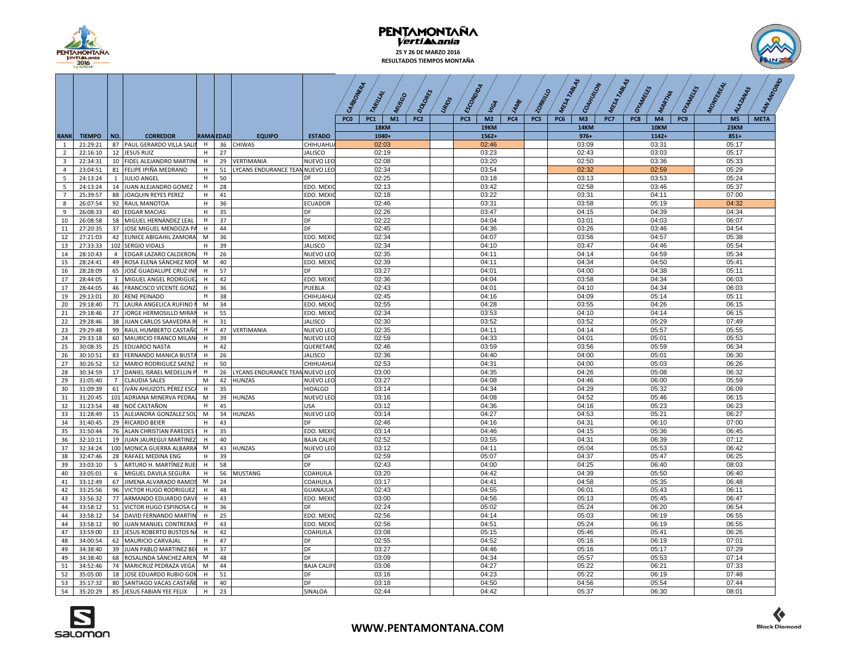

### **PENTAMONTAÑA 25 Y 26 DE MARZO 2016 RESULTADOS TIEMPOS MONTAÑA**

 $\sqrt{2}$  $\prime$ 

 $\prime$ 



 $\sqrt{2}$ 

 $\sqrt{2}$ 

|                |                      |     |                                                       |        |                  |                                 | CARBONERA<br>DOLORES<br>TARILLAL<br>NUSSO              | <b>URIOS</b> | ESCONDIDA<br><sup>JAME</sup><br>VGA | <b>PHLO</b><br>$\epsilon$ | TABLAS<br>TABLAS<br>COAHUULON<br>MESA<br>MESA | Oranters<br>OHAMELES<br>MARTIA           | SAN AMPONS<br>MONTEREAL<br>ALAZANAS |
|----------------|----------------------|-----|-------------------------------------------------------|--------|------------------|---------------------------------|--------------------------------------------------------|--------------|-------------------------------------|---------------------------|-----------------------------------------------|------------------------------------------|-------------------------------------|
|                |                      |     |                                                       |        |                  |                                 | M1<br><b>PCO</b><br>PC <sub>1</sub><br>PC <sub>2</sub> |              | PC3<br>M <sub>2</sub><br>PC4        | PC5                       | PC6<br>M <sub>3</sub><br>PC7                  | PC8<br>M <sub>4</sub><br>PC <sub>9</sub> | M <sub>5</sub><br><b>META</b>       |
|                |                      |     |                                                       |        |                  |                                 | 18KM                                                   |              | <b>19KM</b>                         |                           | <b>14KM</b>                                   | 10KM                                     | 23KM                                |
| <b>RANK</b>    | <b>TIEMPO</b>        | NO. | <b>CORREDOR</b>                                       |        | <b>RAMA EDAD</b> | <b>EQUIPO</b><br><b>ESTADO</b>  | $1040+$                                                |              | 1562+                               |                           | $976+$                                        | $1142+$                                  | $851+$                              |
| $\mathbf{1}$   | 21:29:21             |     | 87 PAUL GERARDO VILLA SALII H                         |        | 36               | <b>CHIWAS</b><br>CHIHUAHU       | 02:03                                                  |              | 02:46                               |                           | 03:09                                         | 03:31                                    | 05:17                               |
| $\overline{2}$ | 22:16:10             |     | 12 JESUS RUIZ                                         | H      | 27               | <b>JALISCO</b>                  | 02:19                                                  |              | 03:23                               |                           | 02:43                                         | 03:03                                    | 05:17                               |
| $\overline{3}$ | 22:34:31             |     | 10 FIDEL ALEJANDRO MARTINI                            | H      | 29               | VERTIMANIA<br><b>NUEVO LEO</b>  | 02:08                                                  |              | 03:20                               |                           | 02:50                                         | 03:36                                    | 05:33                               |
| $\overline{4}$ | 23:04:51             |     | 81 FELIPE IPIÑA MEDRANO                               | н      | 51               | LYCANS ENDURANCE TEAN NUEVO LEO | 02:34                                                  |              | 03:54                               |                           | 02:32                                         | 02:59                                    | 05:29                               |
| 5 <sup>5</sup> | 24:13:24             |     | 1 JULIO ANGEL                                         | H      | 50               | DF                              | 02:25                                                  |              | 03:18                               |                           | 03:13                                         | 03:53                                    | 05:24                               |
| 5              | 24:13:24             |     | 14 JUAN ALEJANDRO GOMEZ                               | H      | 28               | EDO. MEXIO                      | 02:13                                                  |              | 03:42                               |                           | 02:58                                         | 03:46                                    | 05:37                               |
| $\overline{7}$ | 25:39:57             |     | 88 JOAQUIN REYES PEREZ                                | H      | 41               | EDO. MEXIO                      | 02:18                                                  |              | 03:22                               |                           | 03:31                                         | 04:11                                    | 07:00                               |
| 8              | 26:07:54             |     | 92 RAUL MANOTOA                                       | н<br>H | 36               | <b>ECUADOR</b>                  | 02:46<br>02:26                                         |              | 03:31                               |                           | 03:58                                         | 05:19                                    | 04:32                               |
| 9<br>10        | 26:08:33<br>26:08:58 |     | 40 EDGAR MACIAS                                       |        | 35<br>37         | DF<br>DF                        | 02:22                                                  |              | 03:47<br>04:04                      |                           | 04:15<br>03:01                                | 04:39<br>04:03                           | 04:34<br>06:07                      |
| 11             | 27:20:35             |     | 58 MIGUEL HERNÁNDEZ LEAL<br>37 JOSE MIGUEL MENDOZA PA | н<br>H | 44               | DF                              | 02:45                                                  |              | 04:36                               |                           | 03:26                                         | 03:46                                    | 04:54                               |
| 12             | 27:21:03             |     | 42 EUNICE ABIGAHIL ZAMORA                             | M      | 36               | EDO. MEXIC                      | 02:34                                                  |              | 04:07                               |                           | 03:56                                         | 04:57                                    | 05:38                               |
| 13             | 27:33:33             |     | 102 SERGIO VIDALS                                     | н      | 39               | <b>JALISCO</b>                  | 02:34                                                  |              | 04:10                               |                           | 03:47                                         | 04:46                                    | 05:54                               |
| 14             | 28:10:43             |     | 4 EDGAR LAZARO CALDERON                               | H      | 26               | <b>NUEVO LEC</b>                | 02:35                                                  |              | 04:11                               |                           | 04:14                                         | 04:59                                    | 05:34                               |
| 15             | 28:24:41             |     | 49 ROSA ELENA SÁNCHEZ MOR                             | M      | 40               | EDO. MEXIO                      | 02:39                                                  |              | 04:11                               |                           | 04:34                                         | 04:50                                    | 05:41                               |
| 16             | 28:28:09             |     | 65 JOSÉ GUADALUPE CRUZ INI                            | н      | 57               | DF                              | 03:27                                                  |              | 04:01                               |                           | 04:00                                         | 04:38                                    | 05:11                               |
| 17             | 28:44:05             |     | 3 MIGUEL ANGEL RODRIGUEZ                              | H      | 42               | EDO. MEXIO                      | 02:36                                                  |              | 04:04                               |                           | 03:58                                         | 04:34                                    | 06:03                               |
| 17             | 28:44:05             |     | 46 FRANCISCO VICENTE GONZ                             | н      | 36               | PUEBLA                          | 02:43                                                  |              | 04:01                               |                           | 04:10                                         | 04:34                                    | 06:03                               |
| 19             | 29:13:01             |     | 30 RENE PEINADO                                       | H      | 38               | CHIHUAHU                        | 02:45                                                  |              | 04:16                               |                           | 04:09                                         | 05:14                                    | 05:11                               |
| 20             | 29:18:40             |     | 71 LAURA ANGELICA RUFINO                              | M      | 34               | EDO. MEXI                       | 02:55                                                  |              | 04:28                               |                           | 03:55                                         | 04:26                                    | 06:15                               |
| 21             | 29:18:46             |     | 27 JORGE HERMOSILLO MIRAN                             | H      | 55               | EDO. MEXIO                      | 02:34                                                  |              | 03:53                               |                           | 04:10                                         | 04:14                                    | 06:15                               |
| 22             | 29:28:46             |     | 38 JUAN CARLOS SAAVEDRA R                             | н      | 31               | <b>JALISCO</b>                  | 02:30                                                  |              | 03:52                               |                           | 03:52                                         | 05:29                                    | 07:49                               |
| 23             | 29:29:48             |     | 99 RAUL HUMBERTO CASTAÑO                              | H      | 47               | VERTIMANIA<br>NUEVO LEC         | 02:35                                                  |              | 04:11                               |                           | 04:14                                         | 05:57                                    | 05:55                               |
| 24             | 29:33:18             |     | 60 MAURICIO FRANCO MILAN                              | H      | 39               | NUEVO LEC                       | 02:59                                                  |              | 04:33                               |                           | 04:01                                         | 05:01                                    | 05:53                               |
| 25             | 30:08:35             |     | 25 EDUARDO NASTA                                      | н      | 42               | <b>QUERETAR</b>                 | 02:46                                                  |              | 03:59                               |                           | 03:56                                         | 05:59                                    | 06:34                               |
| 26             | 30:10:51             |     | 83 FERNANDO MANICA BUSTA                              | H      | 26               | <b>JALISCO</b>                  | 02:36                                                  |              | 04:40                               |                           | 04:00                                         | 05:01                                    | 06:30                               |
| 27             | 30:26:52             |     | 52 MARIO RODRIGUEZ SAENZ                              | H      | 50               | CHIHUAHU                        | 02:53                                                  |              | 04:31                               |                           | 04:00                                         | 05:03                                    | 06:26                               |
| 28             | 30:34:59             |     | 17 DANIEL ISRAEL MEDELLIN P                           | н      | 26               | LYCANS ENDURANCE TEAN NUEVO LEO | 03:00                                                  |              | 04:35                               |                           | 04:26                                         | 05:08                                    | 06:32                               |
| 29             | 31:05:40             |     | 7 CLAUDIA SALES                                       | M      | 42               | <b>HUNZAS</b><br>NUEVO LEO      | 03:27                                                  |              | 04:08                               |                           | 04:46                                         | 06:00                                    | 05:59                               |
| 30             | 31:09:39             |     | 61   IVÁN AHUIZOTL PÉREZ ESCA                         | н      | 35               | <b>HIDALGO</b>                  | 03:14                                                  |              | 04:34                               |                           | 04:29                                         | 05:32                                    | 06:09                               |
| 31             | 31:20:45             |     | 101 ADRIANA MINERVA PEDRA:                            | M      | 39               | <b>HUNZAS</b><br>NUEVO LEO      | 03:16                                                  |              | 04:08                               |                           | 04:52                                         | 05:46                                    | 06:15                               |
| 32             | 31:23:54             |     | 48 NOÉ CASTAÑON                                       | н      | 45               | <b>USA</b>                      | 03:12                                                  |              | 04:36                               |                           | 04:16                                         | 05:23                                    | 06:23                               |
| 33             | 31:28:49             |     | 15 ALEJANDRA GONZALEZ SOL                             | M      | 34               | <b>HUNZAS</b><br>NUEVO LEO      | 03:14                                                  |              | 04:27                               |                           | 04:53                                         | 05:21                                    | 06:27                               |
| 34             | 31:40:45             |     | 29 RICARDO BEIER                                      | н      | 43               | DF                              | 02:46                                                  |              | 04:16                               |                           | 04:31                                         | 06:10                                    | 07:00                               |
| 35             | 31:50:44             |     | 76 ALAN CHRISTIAN PAREDES                             | н      | 35               | EDO. MEXIC                      | 03:14                                                  |              | 04:46                               |                           | 04:15                                         | 05:36                                    | 06:45                               |
| 36<br>37       | 32:10:11<br>32:34:24 |     | 19 JUAN JAUREGUI MARTINEZ                             |        | 40<br>43         | <b>BAJA CALIF</b><br>HUNZAS     | 02:52<br>03:12                                         |              | 03:55<br>04:11                      |                           | 04:31<br>05:04                                | 06:39<br>05:53                           | 07:12<br>06:42                      |
| 38             | 32:47:46             |     | 100 MONICA GUERRA ALBARRA<br>28 RAFAEL MEDINA ENG     | M<br>н | 39               | NUEVO LEO<br>DF                 | 02:59                                                  |              | 05:07                               |                           | 04:37                                         | 05:47                                    | 06:25                               |
| 39             | 33:03:10             |     | 5 ARTURO H. MARTÍNEZ RUEI                             | H      | 58               | DF                              | 02:43                                                  |              | 04:00                               |                           | 04:25                                         | 06:40                                    | 08:03                               |
| 40             | 33:05:01             |     | 6 MIGUEL DAVILA SEGURA                                | н      | 56               | <b>MUSTANG</b><br>COAHUILA      | 03:20                                                  |              | 04:42                               |                           | 04:39                                         | 05:50                                    | 06:40                               |
| 41             | 33:12:49             |     | 67 JIMENA ALVARADO RAMOS                              | M      | 24               | COAHUILA                        | 03:17                                                  |              | 04:41                               |                           | 04:58                                         | 05:35                                    | 06:48                               |
| 42             | 33:25:56             |     | 96 VICTOR HUGO RODRIGUEZ                              | н      | 48               | GUANAJUA                        | 02:43                                                  |              | 04:55                               |                           | 06:01                                         | 05:43                                    | 06:11                               |
| 43             | 33:56:32             |     | 77 ARMANDO EDUARDO DAVI                               |        | 43               | EDO. MEXIC                      | 03:00                                                  |              | 04:56                               |                           | 05:13                                         | 05:45                                    | 06:47                               |
| 44             | 33:58:12             |     | 51 VICTOR HUGO ESPINOSA CA                            | H      | 36               | DF                              | 02:24                                                  |              | 05:02                               |                           | 05:24                                         | 06:20                                    | 06:54                               |
| 44             | 33:58:12             |     | 54 DAVID FERNANDO MARTIN                              | н      | 25               | EDO. MEXI                       | 02:56                                                  |              | 04:14                               |                           | 05:03                                         | 06:19                                    | 06:55                               |
| 44             | 33:58:12             |     | 90 JUAN MANUEL CONTRERAS                              | H      | 43               | EDO. MEXIO                      | 02:56                                                  |              | 04:51                               |                           | 05:24                                         | 06:19                                    | 06:55                               |
| 47             | 33:59:00             |     | 33 JESUS ROBERTO BUSTOS NA                            | н      | 42               | COAHUILA                        | 03:08                                                  |              | 05:15                               |                           | 05:46                                         | 05:41                                    | 06:26                               |
| 48             | 34:00:54             |     | 62 MAURICIO CARVAJAL                                  | н      | 47               | DF                              | 02:55                                                  |              | 04:52                               |                           | 05:16                                         | 06:19                                    | 07:01                               |
| 49             | 34:38:40             |     | 39 JUAN PABLO MARTINEZ BE                             | H      | 37               | DF                              | 03:27                                                  |              | 04:46                               |                           | 05:16                                         | 05:17                                    | 07:29                               |
| 49             | 34:38:40             |     | 68 ROSALINDA SÁNCHEZ AREN                             | M      | 48               | DF                              | 03:09                                                  |              | 04:34                               |                           | 05:57                                         | 05:53                                    | 07:14                               |
| 51             | 34:52:46             |     | 74 MARICRUZ PEDRAZA VEGA                              | М      | 44               | <b>BAJA CALIF</b>               | 03:06                                                  |              | 04:27                               |                           | 05:22                                         | 06:21                                    | 07:33                               |
| 52             | 35:05:00             |     | 18 JOSE EDUARDO RUBIO GOI                             |        | 51               | DF                              | 03:16                                                  |              | 04:23                               |                           | 05:22                                         | 06:19                                    | 07:48                               |
| 53             | 35:17:32             |     | 80 SANTIAGO VACAS CASTAÑE                             | H      | 40               | DF                              | 03:18                                                  |              | 04:50                               |                           | 04:56                                         | 05:54                                    | 07:44                               |
| 54             | 35:20:29             |     | 85 JESUS FABIAN YEE FELIX                             | H      | 23               | SINALOA                         | 02:44                                                  |              | 04:42                               |                           | 05:37                                         | 06:30                                    | 08:01                               |